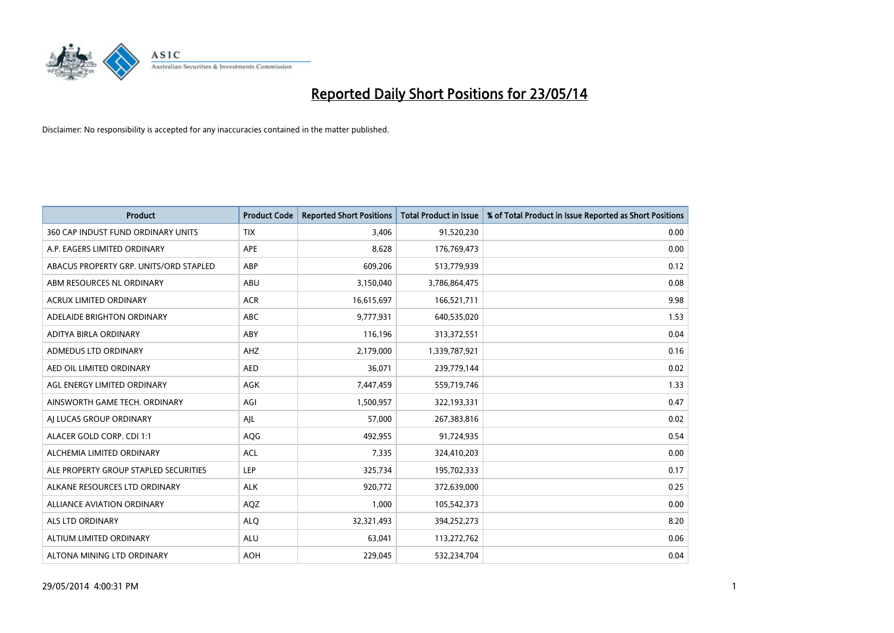

| <b>Product</b>                         | <b>Product Code</b> | <b>Reported Short Positions</b> | <b>Total Product in Issue</b> | % of Total Product in Issue Reported as Short Positions |
|----------------------------------------|---------------------|---------------------------------|-------------------------------|---------------------------------------------------------|
| 360 CAP INDUST FUND ORDINARY UNITS     | <b>TIX</b>          | 3,406                           | 91,520,230                    | 0.00                                                    |
| A.P. EAGERS LIMITED ORDINARY           | APE                 | 8,628                           | 176,769,473                   | 0.00                                                    |
| ABACUS PROPERTY GRP. UNITS/ORD STAPLED | ABP                 | 609,206                         | 513,779,939                   | 0.12                                                    |
| ABM RESOURCES NL ORDINARY              | ABU                 | 3,150,040                       | 3,786,864,475                 | 0.08                                                    |
| <b>ACRUX LIMITED ORDINARY</b>          | <b>ACR</b>          | 16,615,697                      | 166,521,711                   | 9.98                                                    |
| ADELAIDE BRIGHTON ORDINARY             | <b>ABC</b>          | 9,777,931                       | 640,535,020                   | 1.53                                                    |
| ADITYA BIRLA ORDINARY                  | ABY                 | 116,196                         | 313,372,551                   | 0.04                                                    |
| ADMEDUS LTD ORDINARY                   | AHZ                 | 2,179,000                       | 1,339,787,921                 | 0.16                                                    |
| AED OIL LIMITED ORDINARY               | <b>AED</b>          | 36,071                          | 239,779,144                   | 0.02                                                    |
| AGL ENERGY LIMITED ORDINARY            | <b>AGK</b>          | 7,447,459                       | 559,719,746                   | 1.33                                                    |
| AINSWORTH GAME TECH. ORDINARY          | AGI                 | 1,500,957                       | 322,193,331                   | 0.47                                                    |
| AI LUCAS GROUP ORDINARY                | AJL                 | 57,000                          | 267,383,816                   | 0.02                                                    |
| ALACER GOLD CORP. CDI 1:1              | AQG                 | 492,955                         | 91,724,935                    | 0.54                                                    |
| ALCHEMIA LIMITED ORDINARY              | <b>ACL</b>          | 7,335                           | 324,410,203                   | 0.00                                                    |
| ALE PROPERTY GROUP STAPLED SECURITIES  | <b>LEP</b>          | 325,734                         | 195,702,333                   | 0.17                                                    |
| ALKANE RESOURCES LTD ORDINARY          | <b>ALK</b>          | 920,772                         | 372,639,000                   | 0.25                                                    |
| ALLIANCE AVIATION ORDINARY             | AQZ                 | 1,000                           | 105,542,373                   | 0.00                                                    |
| <b>ALS LTD ORDINARY</b>                | <b>ALQ</b>          | 32,321,493                      | 394,252,273                   | 8.20                                                    |
| ALTIUM LIMITED ORDINARY                | <b>ALU</b>          | 63,041                          | 113,272,762                   | 0.06                                                    |
| ALTONA MINING LTD ORDINARY             | <b>AOH</b>          | 229,045                         | 532,234,704                   | 0.04                                                    |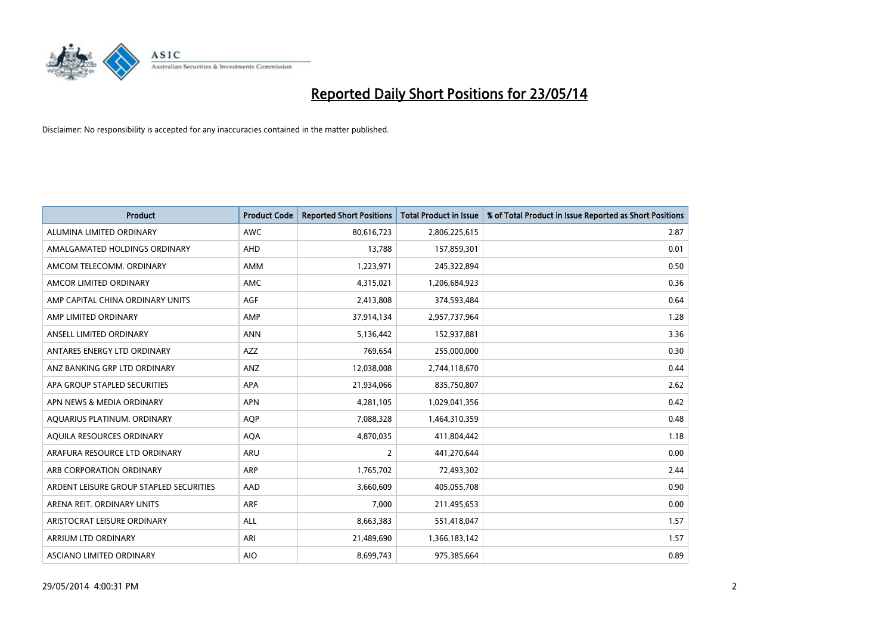

| <b>Product</b>                          | <b>Product Code</b> | <b>Reported Short Positions</b> | <b>Total Product in Issue</b> | % of Total Product in Issue Reported as Short Positions |
|-----------------------------------------|---------------------|---------------------------------|-------------------------------|---------------------------------------------------------|
| ALUMINA LIMITED ORDINARY                | <b>AWC</b>          | 80,616,723                      | 2,806,225,615                 | 2.87                                                    |
| AMALGAMATED HOLDINGS ORDINARY           | AHD                 | 13,788                          | 157,859,301                   | 0.01                                                    |
| AMCOM TELECOMM, ORDINARY                | <b>AMM</b>          | 1,223,971                       | 245,322,894                   | 0.50                                                    |
| AMCOR LIMITED ORDINARY                  | AMC                 | 4,315,021                       | 1,206,684,923                 | 0.36                                                    |
| AMP CAPITAL CHINA ORDINARY UNITS        | AGF                 | 2,413,808                       | 374,593,484                   | 0.64                                                    |
| AMP LIMITED ORDINARY                    | AMP                 | 37,914,134                      | 2,957,737,964                 | 1.28                                                    |
| ANSELL LIMITED ORDINARY                 | <b>ANN</b>          | 5,136,442                       | 152,937,881                   | 3.36                                                    |
| ANTARES ENERGY LTD ORDINARY             | <b>AZZ</b>          | 769,654                         | 255,000,000                   | 0.30                                                    |
| ANZ BANKING GRP LTD ORDINARY            | ANZ                 | 12,038,008                      | 2,744,118,670                 | 0.44                                                    |
| APA GROUP STAPLED SECURITIES            | <b>APA</b>          | 21,934,066                      | 835,750,807                   | 2.62                                                    |
| APN NEWS & MEDIA ORDINARY               | <b>APN</b>          | 4,281,105                       | 1,029,041,356                 | 0.42                                                    |
| AQUARIUS PLATINUM. ORDINARY             | <b>AQP</b>          | 7,088,328                       | 1,464,310,359                 | 0.48                                                    |
| AQUILA RESOURCES ORDINARY               | <b>AQA</b>          | 4,870,035                       | 411,804,442                   | 1.18                                                    |
| ARAFURA RESOURCE LTD ORDINARY           | <b>ARU</b>          | $\overline{2}$                  | 441,270,644                   | 0.00                                                    |
| ARB CORPORATION ORDINARY                | <b>ARP</b>          | 1,765,702                       | 72,493,302                    | 2.44                                                    |
| ARDENT LEISURE GROUP STAPLED SECURITIES | AAD                 | 3,660,609                       | 405,055,708                   | 0.90                                                    |
| ARENA REIT. ORDINARY UNITS              | <b>ARF</b>          | 7,000                           | 211,495,653                   | 0.00                                                    |
| ARISTOCRAT LEISURE ORDINARY             | <b>ALL</b>          | 8,663,383                       | 551,418,047                   | 1.57                                                    |
| ARRIUM LTD ORDINARY                     | ARI                 | 21,489,690                      | 1,366,183,142                 | 1.57                                                    |
| ASCIANO LIMITED ORDINARY                | <b>AIO</b>          | 8,699,743                       | 975,385,664                   | 0.89                                                    |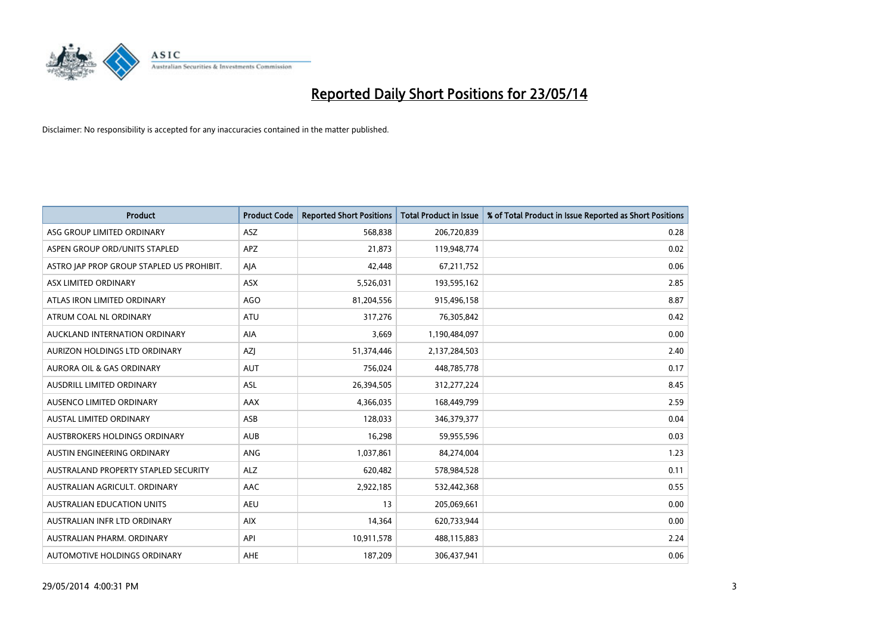

| <b>Product</b>                            | <b>Product Code</b> | <b>Reported Short Positions</b> | <b>Total Product in Issue</b> | % of Total Product in Issue Reported as Short Positions |
|-------------------------------------------|---------------------|---------------------------------|-------------------------------|---------------------------------------------------------|
| ASG GROUP LIMITED ORDINARY                | <b>ASZ</b>          | 568,838                         | 206,720,839                   | 0.28                                                    |
| ASPEN GROUP ORD/UNITS STAPLED             | APZ                 | 21,873                          | 119,948,774                   | 0.02                                                    |
| ASTRO JAP PROP GROUP STAPLED US PROHIBIT. | AJA                 | 42,448                          | 67,211,752                    | 0.06                                                    |
| ASX LIMITED ORDINARY                      | ASX                 | 5,526,031                       | 193,595,162                   | 2.85                                                    |
| ATLAS IRON LIMITED ORDINARY               | <b>AGO</b>          | 81,204,556                      | 915,496,158                   | 8.87                                                    |
| ATRUM COAL NL ORDINARY                    | <b>ATU</b>          | 317,276                         | 76,305,842                    | 0.42                                                    |
| AUCKLAND INTERNATION ORDINARY             | AIA                 | 3,669                           | 1,190,484,097                 | 0.00                                                    |
| AURIZON HOLDINGS LTD ORDINARY             | AZJ                 | 51,374,446                      | 2,137,284,503                 | 2.40                                                    |
| <b>AURORA OIL &amp; GAS ORDINARY</b>      | <b>AUT</b>          | 756,024                         | 448,785,778                   | 0.17                                                    |
| AUSDRILL LIMITED ORDINARY                 | <b>ASL</b>          | 26,394,505                      | 312,277,224                   | 8.45                                                    |
| AUSENCO LIMITED ORDINARY                  | AAX                 | 4,366,035                       | 168,449,799                   | 2.59                                                    |
| <b>AUSTAL LIMITED ORDINARY</b>            | ASB                 | 128,033                         | 346,379,377                   | 0.04                                                    |
| AUSTBROKERS HOLDINGS ORDINARY             | <b>AUB</b>          | 16,298                          | 59,955,596                    | 0.03                                                    |
| AUSTIN ENGINEERING ORDINARY               | ANG                 | 1,037,861                       | 84,274,004                    | 1.23                                                    |
| AUSTRALAND PROPERTY STAPLED SECURITY      | <b>ALZ</b>          | 620,482                         | 578,984,528                   | 0.11                                                    |
| AUSTRALIAN AGRICULT. ORDINARY             | AAC                 | 2,922,185                       | 532,442,368                   | 0.55                                                    |
| <b>AUSTRALIAN EDUCATION UNITS</b>         | <b>AEU</b>          | 13                              | 205,069,661                   | 0.00                                                    |
| AUSTRALIAN INFR LTD ORDINARY              | <b>AIX</b>          | 14,364                          | 620,733,944                   | 0.00                                                    |
| AUSTRALIAN PHARM, ORDINARY                | API                 | 10,911,578                      | 488,115,883                   | 2.24                                                    |
| AUTOMOTIVE HOLDINGS ORDINARY              | <b>AHE</b>          | 187,209                         | 306,437,941                   | 0.06                                                    |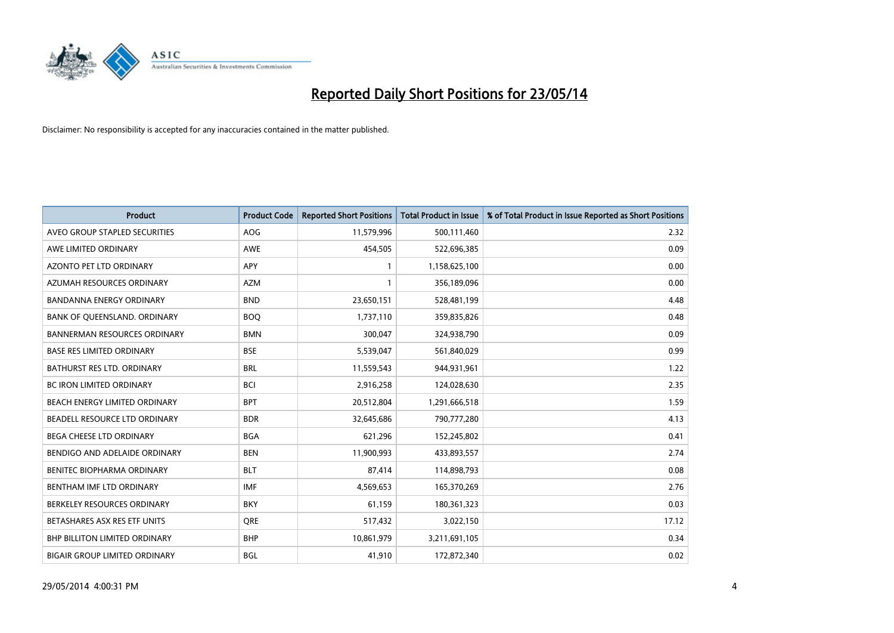

| <b>Product</b>                       | <b>Product Code</b> | <b>Reported Short Positions</b> | <b>Total Product in Issue</b> | % of Total Product in Issue Reported as Short Positions |
|--------------------------------------|---------------------|---------------------------------|-------------------------------|---------------------------------------------------------|
| AVEO GROUP STAPLED SECURITIES        | AOG                 | 11,579,996                      | 500,111,460                   | 2.32                                                    |
| AWE LIMITED ORDINARY                 | AWE                 | 454,505                         | 522,696,385                   | 0.09                                                    |
| <b>AZONTO PET LTD ORDINARY</b>       | APY                 | $\mathbf{1}$                    | 1,158,625,100                 | 0.00                                                    |
| AZUMAH RESOURCES ORDINARY            | <b>AZM</b>          | $\mathbf{1}$                    | 356,189,096                   | 0.00                                                    |
| <b>BANDANNA ENERGY ORDINARY</b>      | <b>BND</b>          | 23,650,151                      | 528,481,199                   | 4.48                                                    |
| BANK OF QUEENSLAND. ORDINARY         | <b>BOO</b>          | 1,737,110                       | 359,835,826                   | 0.48                                                    |
| <b>BANNERMAN RESOURCES ORDINARY</b>  | <b>BMN</b>          | 300.047                         | 324,938,790                   | 0.09                                                    |
| <b>BASE RES LIMITED ORDINARY</b>     | <b>BSE</b>          | 5,539,047                       | 561,840,029                   | 0.99                                                    |
| BATHURST RES LTD. ORDINARY           | <b>BRL</b>          | 11,559,543                      | 944,931,961                   | 1.22                                                    |
| <b>BC IRON LIMITED ORDINARY</b>      | <b>BCI</b>          | 2,916,258                       | 124,028,630                   | 2.35                                                    |
| BEACH ENERGY LIMITED ORDINARY        | <b>BPT</b>          | 20,512,804                      | 1,291,666,518                 | 1.59                                                    |
| BEADELL RESOURCE LTD ORDINARY        | <b>BDR</b>          | 32,645,686                      | 790,777,280                   | 4.13                                                    |
| <b>BEGA CHEESE LTD ORDINARY</b>      | <b>BGA</b>          | 621,296                         | 152,245,802                   | 0.41                                                    |
| BENDIGO AND ADELAIDE ORDINARY        | <b>BEN</b>          | 11,900,993                      | 433,893,557                   | 2.74                                                    |
| BENITEC BIOPHARMA ORDINARY           | <b>BLT</b>          | 87,414                          | 114,898,793                   | 0.08                                                    |
| BENTHAM IMF LTD ORDINARY             | <b>IMF</b>          | 4,569,653                       | 165,370,269                   | 2.76                                                    |
| BERKELEY RESOURCES ORDINARY          | <b>BKY</b>          | 61,159                          | 180,361,323                   | 0.03                                                    |
| BETASHARES ASX RES ETF UNITS         | <b>ORE</b>          | 517,432                         | 3,022,150                     | 17.12                                                   |
| BHP BILLITON LIMITED ORDINARY        | <b>BHP</b>          | 10,861,979                      | 3,211,691,105                 | 0.34                                                    |
| <b>BIGAIR GROUP LIMITED ORDINARY</b> | <b>BGL</b>          | 41,910                          | 172,872,340                   | 0.02                                                    |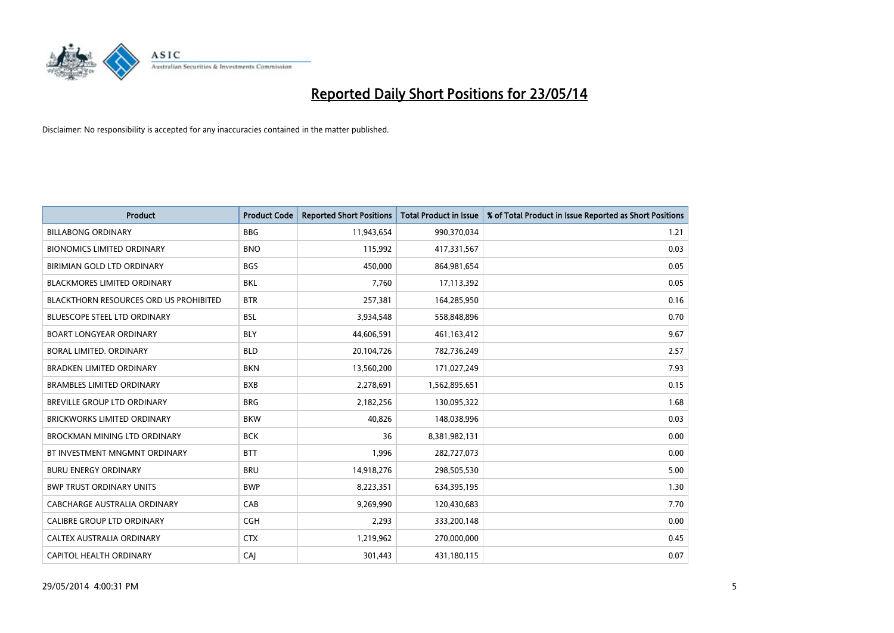

| <b>Product</b>                                | <b>Product Code</b> | <b>Reported Short Positions</b> | <b>Total Product in Issue</b> | % of Total Product in Issue Reported as Short Positions |
|-----------------------------------------------|---------------------|---------------------------------|-------------------------------|---------------------------------------------------------|
| <b>BILLABONG ORDINARY</b>                     | <b>BBG</b>          | 11,943,654                      | 990,370,034                   | 1.21                                                    |
| <b>BIONOMICS LIMITED ORDINARY</b>             | <b>BNO</b>          | 115,992                         | 417,331,567                   | 0.03                                                    |
| BIRIMIAN GOLD LTD ORDINARY                    | <b>BGS</b>          | 450,000                         | 864,981,654                   | 0.05                                                    |
| <b>BLACKMORES LIMITED ORDINARY</b>            | <b>BKL</b>          | 7,760                           | 17,113,392                    | 0.05                                                    |
| <b>BLACKTHORN RESOURCES ORD US PROHIBITED</b> | <b>BTR</b>          | 257,381                         | 164,285,950                   | 0.16                                                    |
| <b>BLUESCOPE STEEL LTD ORDINARY</b>           | <b>BSL</b>          | 3,934,548                       | 558,848,896                   | 0.70                                                    |
| <b>BOART LONGYEAR ORDINARY</b>                | <b>BLY</b>          | 44,606,591                      | 461,163,412                   | 9.67                                                    |
| BORAL LIMITED. ORDINARY                       | <b>BLD</b>          | 20,104,726                      | 782,736,249                   | 2.57                                                    |
| <b>BRADKEN LIMITED ORDINARY</b>               | <b>BKN</b>          | 13,560,200                      | 171,027,249                   | 7.93                                                    |
| <b>BRAMBLES LIMITED ORDINARY</b>              | <b>BXB</b>          | 2,278,691                       | 1,562,895,651                 | 0.15                                                    |
| BREVILLE GROUP LTD ORDINARY                   | <b>BRG</b>          | 2,182,256                       | 130,095,322                   | 1.68                                                    |
| <b>BRICKWORKS LIMITED ORDINARY</b>            | <b>BKW</b>          | 40,826                          | 148,038,996                   | 0.03                                                    |
| BROCKMAN MINING LTD ORDINARY                  | <b>BCK</b>          | 36                              | 8,381,982,131                 | 0.00                                                    |
| BT INVESTMENT MNGMNT ORDINARY                 | <b>BTT</b>          | 1,996                           | 282,727,073                   | 0.00                                                    |
| <b>BURU ENERGY ORDINARY</b>                   | <b>BRU</b>          | 14,918,276                      | 298,505,530                   | 5.00                                                    |
| <b>BWP TRUST ORDINARY UNITS</b>               | <b>BWP</b>          | 8,223,351                       | 634,395,195                   | 1.30                                                    |
| CABCHARGE AUSTRALIA ORDINARY                  | CAB                 | 9,269,990                       | 120,430,683                   | 7.70                                                    |
| CALIBRE GROUP LTD ORDINARY                    | <b>CGH</b>          | 2,293                           | 333,200,148                   | 0.00                                                    |
| CALTEX AUSTRALIA ORDINARY                     | <b>CTX</b>          | 1,219,962                       | 270,000,000                   | 0.45                                                    |
| CAPITOL HEALTH ORDINARY                       | CAJ                 | 301,443                         | 431,180,115                   | 0.07                                                    |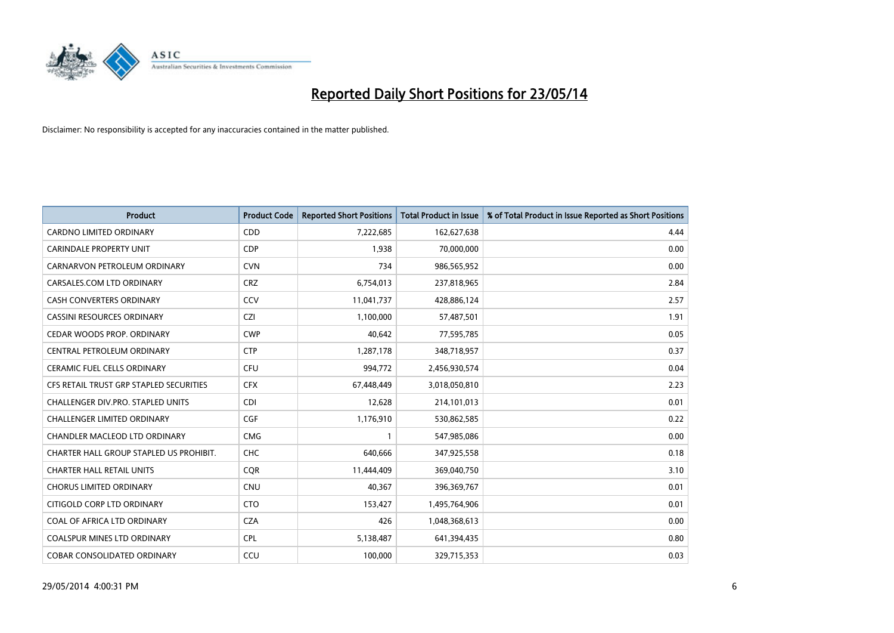

| Product                                 | <b>Product Code</b> | <b>Reported Short Positions</b> | <b>Total Product in Issue</b> | % of Total Product in Issue Reported as Short Positions |
|-----------------------------------------|---------------------|---------------------------------|-------------------------------|---------------------------------------------------------|
| <b>CARDNO LIMITED ORDINARY</b>          | CDD                 | 7,222,685                       | 162,627,638                   | 4.44                                                    |
| <b>CARINDALE PROPERTY UNIT</b>          | <b>CDP</b>          | 1,938                           | 70,000,000                    | 0.00                                                    |
| CARNARVON PETROLEUM ORDINARY            | <b>CVN</b>          | 734                             | 986,565,952                   | 0.00                                                    |
| CARSALES.COM LTD ORDINARY               | <b>CRZ</b>          | 6,754,013                       | 237,818,965                   | 2.84                                                    |
| <b>CASH CONVERTERS ORDINARY</b>         | CCV                 | 11,041,737                      | 428,886,124                   | 2.57                                                    |
| <b>CASSINI RESOURCES ORDINARY</b>       | <b>CZI</b>          | 1,100,000                       | 57,487,501                    | 1.91                                                    |
| CEDAR WOODS PROP. ORDINARY              | <b>CWP</b>          | 40,642                          | 77,595,785                    | 0.05                                                    |
| CENTRAL PETROLEUM ORDINARY              | <b>CTP</b>          | 1,287,178                       | 348,718,957                   | 0.37                                                    |
| <b>CERAMIC FUEL CELLS ORDINARY</b>      | <b>CFU</b>          | 994,772                         | 2,456,930,574                 | 0.04                                                    |
| CFS RETAIL TRUST GRP STAPLED SECURITIES | <b>CFX</b>          | 67,448,449                      | 3,018,050,810                 | 2.23                                                    |
| CHALLENGER DIV.PRO. STAPLED UNITS       | <b>CDI</b>          | 12,628                          | 214,101,013                   | 0.01                                                    |
| <b>CHALLENGER LIMITED ORDINARY</b>      | <b>CGF</b>          | 1,176,910                       | 530,862,585                   | 0.22                                                    |
| CHANDLER MACLEOD LTD ORDINARY           | <b>CMG</b>          | $\mathbf{1}$                    | 547,985,086                   | 0.00                                                    |
| CHARTER HALL GROUP STAPLED US PROHIBIT. | <b>CHC</b>          | 640,666                         | 347,925,558                   | 0.18                                                    |
| <b>CHARTER HALL RETAIL UNITS</b>        | <b>CQR</b>          | 11,444,409                      | 369,040,750                   | 3.10                                                    |
| <b>CHORUS LIMITED ORDINARY</b>          | <b>CNU</b>          | 40,367                          | 396,369,767                   | 0.01                                                    |
| CITIGOLD CORP LTD ORDINARY              | <b>CTO</b>          | 153,427                         | 1,495,764,906                 | 0.01                                                    |
| COAL OF AFRICA LTD ORDINARY             | <b>CZA</b>          | 426                             | 1,048,368,613                 | 0.00                                                    |
| <b>COALSPUR MINES LTD ORDINARY</b>      | <b>CPL</b>          | 5,138,487                       | 641,394,435                   | 0.80                                                    |
| <b>COBAR CONSOLIDATED ORDINARY</b>      | CCU                 | 100,000                         | 329,715,353                   | 0.03                                                    |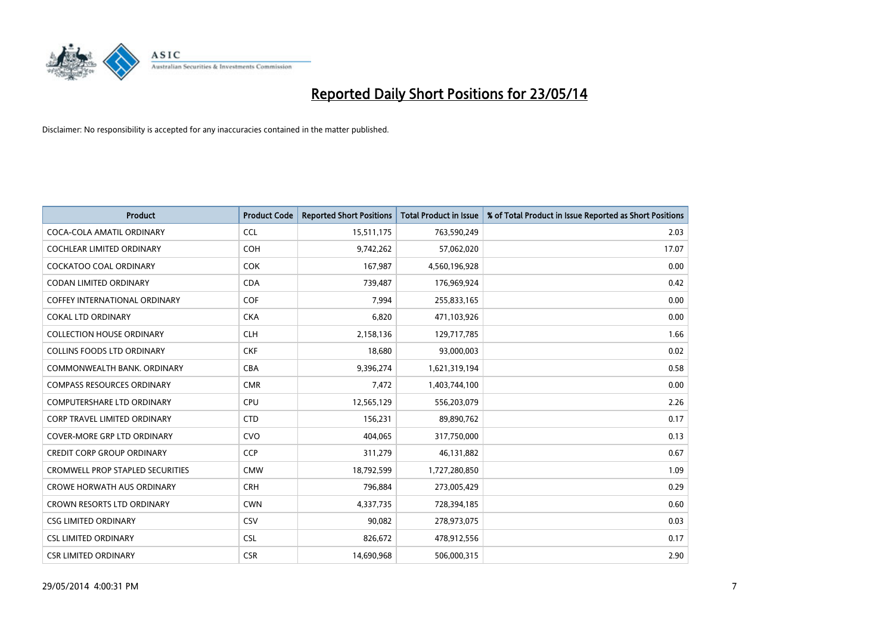

| <b>Product</b>                          | <b>Product Code</b> | <b>Reported Short Positions</b> | <b>Total Product in Issue</b> | % of Total Product in Issue Reported as Short Positions |
|-----------------------------------------|---------------------|---------------------------------|-------------------------------|---------------------------------------------------------|
| COCA-COLA AMATIL ORDINARY               | <b>CCL</b>          | 15,511,175                      | 763,590,249                   | 2.03                                                    |
| COCHLEAR LIMITED ORDINARY               | <b>COH</b>          | 9,742,262                       | 57,062,020                    | 17.07                                                   |
| <b>COCKATOO COAL ORDINARY</b>           | <b>COK</b>          | 167,987                         | 4,560,196,928                 | 0.00                                                    |
| <b>CODAN LIMITED ORDINARY</b>           | <b>CDA</b>          | 739,487                         | 176,969,924                   | 0.42                                                    |
| COFFEY INTERNATIONAL ORDINARY           | <b>COF</b>          | 7,994                           | 255,833,165                   | 0.00                                                    |
| <b>COKAL LTD ORDINARY</b>               | <b>CKA</b>          | 6,820                           | 471,103,926                   | 0.00                                                    |
| <b>COLLECTION HOUSE ORDINARY</b>        | <b>CLH</b>          | 2,158,136                       | 129,717,785                   | 1.66                                                    |
| <b>COLLINS FOODS LTD ORDINARY</b>       | <b>CKF</b>          | 18,680                          | 93,000,003                    | 0.02                                                    |
| COMMONWEALTH BANK, ORDINARY             | <b>CBA</b>          | 9,396,274                       | 1,621,319,194                 | 0.58                                                    |
| <b>COMPASS RESOURCES ORDINARY</b>       | <b>CMR</b>          | 7,472                           | 1,403,744,100                 | 0.00                                                    |
| COMPUTERSHARE LTD ORDINARY              | <b>CPU</b>          | 12,565,129                      | 556,203,079                   | 2.26                                                    |
| <b>CORP TRAVEL LIMITED ORDINARY</b>     | <b>CTD</b>          | 156,231                         | 89,890,762                    | 0.17                                                    |
| COVER-MORE GRP LTD ORDINARY             | <b>CVO</b>          | 404,065                         | 317,750,000                   | 0.13                                                    |
| <b>CREDIT CORP GROUP ORDINARY</b>       | <b>CCP</b>          | 311,279                         | 46,131,882                    | 0.67                                                    |
| <b>CROMWELL PROP STAPLED SECURITIES</b> | <b>CMW</b>          | 18,792,599                      | 1,727,280,850                 | 1.09                                                    |
| <b>CROWE HORWATH AUS ORDINARY</b>       | <b>CRH</b>          | 796,884                         | 273,005,429                   | 0.29                                                    |
| CROWN RESORTS LTD ORDINARY              | <b>CWN</b>          | 4,337,735                       | 728,394,185                   | 0.60                                                    |
| <b>CSG LIMITED ORDINARY</b>             | CSV                 | 90,082                          | 278,973,075                   | 0.03                                                    |
| <b>CSL LIMITED ORDINARY</b>             | <b>CSL</b>          | 826,672                         | 478,912,556                   | 0.17                                                    |
| <b>CSR LIMITED ORDINARY</b>             | <b>CSR</b>          | 14,690,968                      | 506,000,315                   | 2.90                                                    |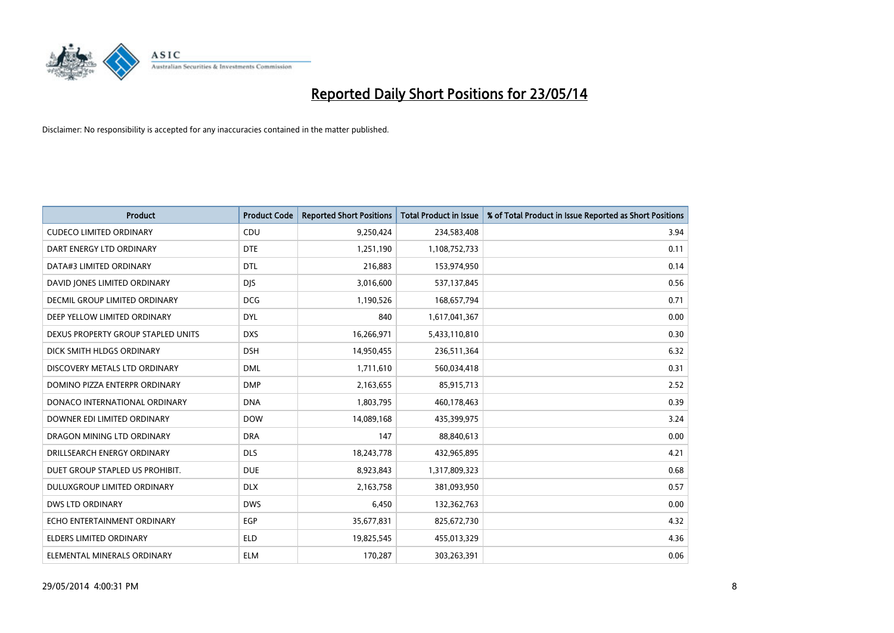

| <b>Product</b>                       | <b>Product Code</b> | <b>Reported Short Positions</b> | <b>Total Product in Issue</b> | % of Total Product in Issue Reported as Short Positions |
|--------------------------------------|---------------------|---------------------------------|-------------------------------|---------------------------------------------------------|
| <b>CUDECO LIMITED ORDINARY</b>       | CDU                 | 9,250,424                       | 234,583,408                   | 3.94                                                    |
| DART ENERGY LTD ORDINARY             | <b>DTE</b>          | 1,251,190                       | 1,108,752,733                 | 0.11                                                    |
| DATA#3 LIMITED ORDINARY              | <b>DTL</b>          | 216,883                         | 153,974,950                   | 0.14                                                    |
| DAVID JONES LIMITED ORDINARY         | <b>DJS</b>          | 3,016,600                       | 537,137,845                   | 0.56                                                    |
| <b>DECMIL GROUP LIMITED ORDINARY</b> | <b>DCG</b>          | 1,190,526                       | 168,657,794                   | 0.71                                                    |
| DEEP YELLOW LIMITED ORDINARY         | <b>DYL</b>          | 840                             | 1,617,041,367                 | 0.00                                                    |
| DEXUS PROPERTY GROUP STAPLED UNITS   | <b>DXS</b>          | 16,266,971                      | 5,433,110,810                 | 0.30                                                    |
| DICK SMITH HLDGS ORDINARY            | <b>DSH</b>          | 14,950,455                      | 236,511,364                   | 6.32                                                    |
| DISCOVERY METALS LTD ORDINARY        | <b>DML</b>          | 1,711,610                       | 560,034,418                   | 0.31                                                    |
| DOMINO PIZZA ENTERPR ORDINARY        | <b>DMP</b>          | 2,163,655                       | 85,915,713                    | 2.52                                                    |
| DONACO INTERNATIONAL ORDINARY        | <b>DNA</b>          | 1,803,795                       | 460,178,463                   | 0.39                                                    |
| DOWNER EDI LIMITED ORDINARY          | <b>DOW</b>          | 14,089,168                      | 435,399,975                   | 3.24                                                    |
| DRAGON MINING LTD ORDINARY           | <b>DRA</b>          | 147                             | 88,840,613                    | 0.00                                                    |
| DRILLSEARCH ENERGY ORDINARY          | <b>DLS</b>          | 18,243,778                      | 432,965,895                   | 4.21                                                    |
| DUET GROUP STAPLED US PROHIBIT.      | <b>DUE</b>          | 8,923,843                       | 1,317,809,323                 | 0.68                                                    |
| DULUXGROUP LIMITED ORDINARY          | <b>DLX</b>          | 2,163,758                       | 381,093,950                   | 0.57                                                    |
| <b>DWS LTD ORDINARY</b>              | <b>DWS</b>          | 6,450                           | 132,362,763                   | 0.00                                                    |
| ECHO ENTERTAINMENT ORDINARY          | <b>EGP</b>          | 35,677,831                      | 825,672,730                   | 4.32                                                    |
| <b>ELDERS LIMITED ORDINARY</b>       | <b>ELD</b>          | 19,825,545                      | 455,013,329                   | 4.36                                                    |
| ELEMENTAL MINERALS ORDINARY          | ELM                 | 170,287                         | 303,263,391                   | 0.06                                                    |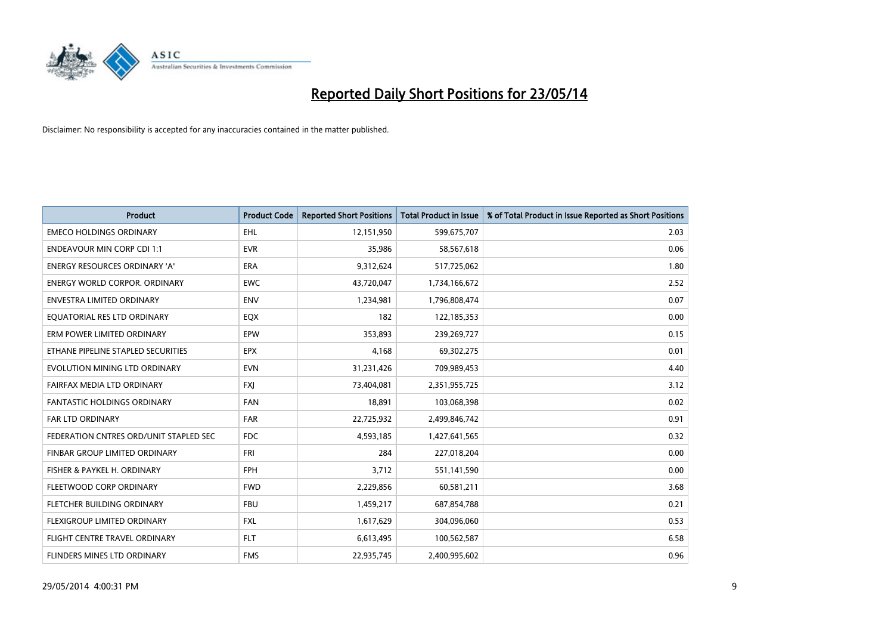

| <b>Product</b>                         | <b>Product Code</b> | <b>Reported Short Positions</b> | <b>Total Product in Issue</b> | % of Total Product in Issue Reported as Short Positions |
|----------------------------------------|---------------------|---------------------------------|-------------------------------|---------------------------------------------------------|
| <b>EMECO HOLDINGS ORDINARY</b>         | <b>EHL</b>          | 12,151,950                      | 599,675,707                   | 2.03                                                    |
| ENDEAVOUR MIN CORP CDI 1:1             | <b>EVR</b>          | 35,986                          | 58,567,618                    | 0.06                                                    |
| ENERGY RESOURCES ORDINARY 'A'          | <b>ERA</b>          | 9,312,624                       | 517,725,062                   | 1.80                                                    |
| <b>ENERGY WORLD CORPOR, ORDINARY</b>   | <b>EWC</b>          | 43,720,047                      | 1,734,166,672                 | 2.52                                                    |
| <b>ENVESTRA LIMITED ORDINARY</b>       | <b>ENV</b>          | 1,234,981                       | 1,796,808,474                 | 0.07                                                    |
| EQUATORIAL RES LTD ORDINARY            | EQX                 | 182                             | 122,185,353                   | 0.00                                                    |
| ERM POWER LIMITED ORDINARY             | EPW                 | 353,893                         | 239,269,727                   | 0.15                                                    |
| ETHANE PIPELINE STAPLED SECURITIES     | <b>EPX</b>          | 4,168                           | 69,302,275                    | 0.01                                                    |
| EVOLUTION MINING LTD ORDINARY          | <b>EVN</b>          | 31,231,426                      | 709,989,453                   | 4.40                                                    |
| FAIRFAX MEDIA LTD ORDINARY             | <b>FXJ</b>          | 73,404,081                      | 2,351,955,725                 | 3.12                                                    |
| <b>FANTASTIC HOLDINGS ORDINARY</b>     | <b>FAN</b>          | 18,891                          | 103,068,398                   | 0.02                                                    |
| FAR LTD ORDINARY                       | <b>FAR</b>          | 22,725,932                      | 2,499,846,742                 | 0.91                                                    |
| FEDERATION CNTRES ORD/UNIT STAPLED SEC | <b>FDC</b>          | 4,593,185                       | 1,427,641,565                 | 0.32                                                    |
| <b>FINBAR GROUP LIMITED ORDINARY</b>   | <b>FRI</b>          | 284                             | 227,018,204                   | 0.00                                                    |
| FISHER & PAYKEL H. ORDINARY            | <b>FPH</b>          | 3,712                           | 551,141,590                   | 0.00                                                    |
| FLEETWOOD CORP ORDINARY                | <b>FWD</b>          | 2,229,856                       | 60,581,211                    | 3.68                                                    |
| FLETCHER BUILDING ORDINARY             | <b>FBU</b>          | 1,459,217                       | 687,854,788                   | 0.21                                                    |
| FLEXIGROUP LIMITED ORDINARY            | FXL                 | 1,617,629                       | 304,096,060                   | 0.53                                                    |
| FLIGHT CENTRE TRAVEL ORDINARY          | <b>FLT</b>          | 6,613,495                       | 100,562,587                   | 6.58                                                    |
| FLINDERS MINES LTD ORDINARY            | <b>FMS</b>          | 22,935,745                      | 2,400,995,602                 | 0.96                                                    |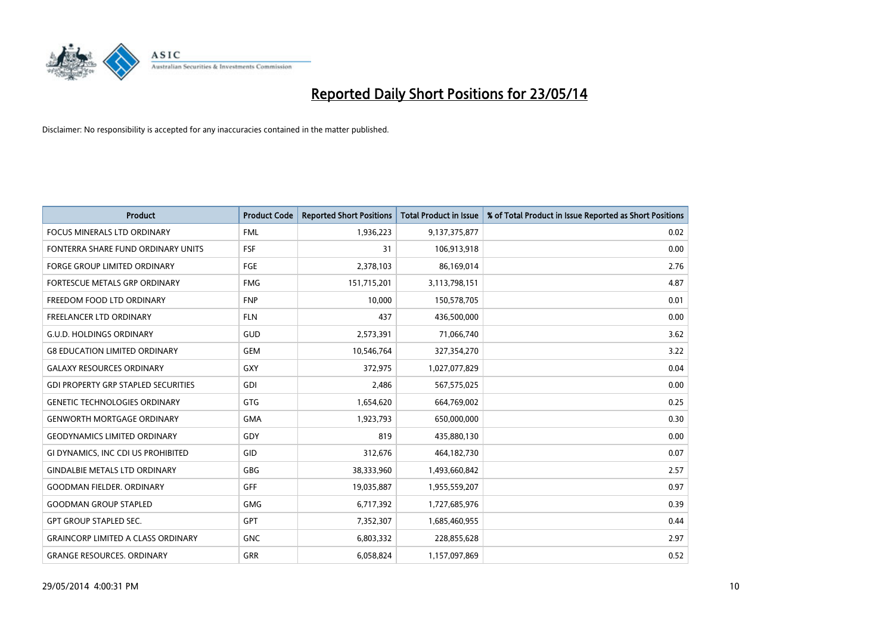

| <b>Product</b>                             | <b>Product Code</b> | <b>Reported Short Positions</b> | <b>Total Product in Issue</b> | % of Total Product in Issue Reported as Short Positions |
|--------------------------------------------|---------------------|---------------------------------|-------------------------------|---------------------------------------------------------|
| <b>FOCUS MINERALS LTD ORDINARY</b>         | <b>FML</b>          | 1,936,223                       | 9,137,375,877                 | 0.02                                                    |
| FONTERRA SHARE FUND ORDINARY UNITS         | <b>FSF</b>          | 31                              | 106,913,918                   | 0.00                                                    |
| <b>FORGE GROUP LIMITED ORDINARY</b>        | <b>FGE</b>          | 2,378,103                       | 86,169,014                    | 2.76                                                    |
| FORTESCUE METALS GRP ORDINARY              | <b>FMG</b>          | 151,715,201                     | 3,113,798,151                 | 4.87                                                    |
| FREEDOM FOOD LTD ORDINARY                  | <b>FNP</b>          | 10,000                          | 150,578,705                   | 0.01                                                    |
| <b>FREELANCER LTD ORDINARY</b>             | <b>FLN</b>          | 437                             | 436,500,000                   | 0.00                                                    |
| <b>G.U.D. HOLDINGS ORDINARY</b>            | GUD                 | 2,573,391                       | 71,066,740                    | 3.62                                                    |
| <b>G8 EDUCATION LIMITED ORDINARY</b>       | <b>GEM</b>          | 10,546,764                      | 327,354,270                   | 3.22                                                    |
| <b>GALAXY RESOURCES ORDINARY</b>           | GXY                 | 372,975                         | 1,027,077,829                 | 0.04                                                    |
| <b>GDI PROPERTY GRP STAPLED SECURITIES</b> | GDI                 | 2,486                           | 567,575,025                   | 0.00                                                    |
| <b>GENETIC TECHNOLOGIES ORDINARY</b>       | GTG                 | 1,654,620                       | 664,769,002                   | 0.25                                                    |
| <b>GENWORTH MORTGAGE ORDINARY</b>          | <b>GMA</b>          | 1,923,793                       | 650,000,000                   | 0.30                                                    |
| <b>GEODYNAMICS LIMITED ORDINARY</b>        | GDY                 | 819                             | 435,880,130                   | 0.00                                                    |
| GI DYNAMICS, INC CDI US PROHIBITED         | GID                 | 312,676                         | 464,182,730                   | 0.07                                                    |
| <b>GINDALBIE METALS LTD ORDINARY</b>       | GBG                 | 38,333,960                      | 1,493,660,842                 | 2.57                                                    |
| <b>GOODMAN FIELDER. ORDINARY</b>           | <b>GFF</b>          | 19,035,887                      | 1,955,559,207                 | 0.97                                                    |
| <b>GOODMAN GROUP STAPLED</b>               | GMG                 | 6,717,392                       | 1,727,685,976                 | 0.39                                                    |
| <b>GPT GROUP STAPLED SEC.</b>              | <b>GPT</b>          | 7,352,307                       | 1,685,460,955                 | 0.44                                                    |
| <b>GRAINCORP LIMITED A CLASS ORDINARY</b>  | <b>GNC</b>          | 6,803,332                       | 228,855,628                   | 2.97                                                    |
| <b>GRANGE RESOURCES, ORDINARY</b>          | <b>GRR</b>          | 6,058,824                       | 1,157,097,869                 | 0.52                                                    |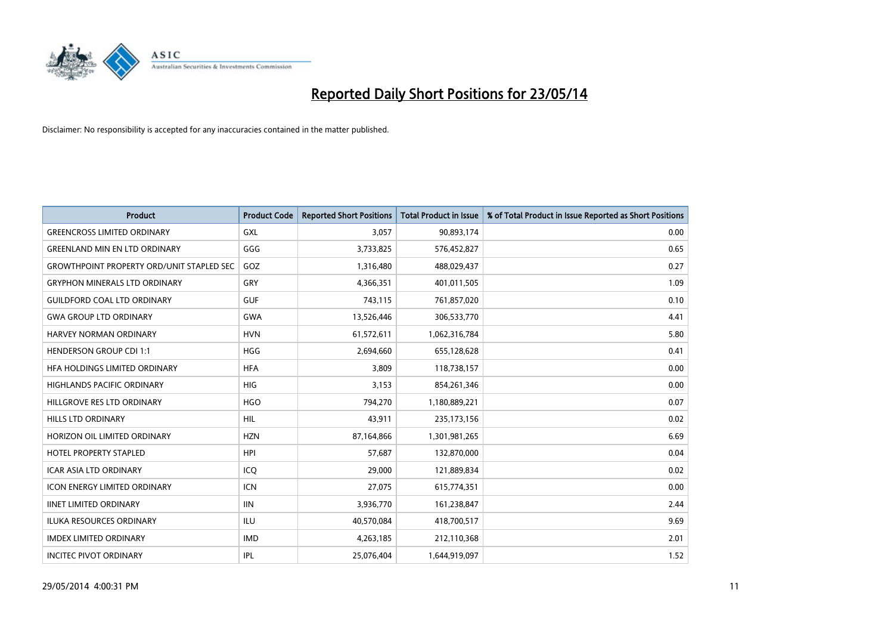

| <b>Product</b>                                   | <b>Product Code</b> | <b>Reported Short Positions</b> | <b>Total Product in Issue</b> | % of Total Product in Issue Reported as Short Positions |
|--------------------------------------------------|---------------------|---------------------------------|-------------------------------|---------------------------------------------------------|
| <b>GREENCROSS LIMITED ORDINARY</b>               | <b>GXL</b>          | 3,057                           | 90,893,174                    | 0.00                                                    |
| <b>GREENLAND MIN EN LTD ORDINARY</b>             | GGG                 | 3,733,825                       | 576,452,827                   | 0.65                                                    |
| <b>GROWTHPOINT PROPERTY ORD/UNIT STAPLED SEC</b> | GOZ                 | 1,316,480                       | 488,029,437                   | 0.27                                                    |
| <b>GRYPHON MINERALS LTD ORDINARY</b>             | GRY                 | 4,366,351                       | 401,011,505                   | 1.09                                                    |
| <b>GUILDFORD COAL LTD ORDINARY</b>               | <b>GUF</b>          | 743,115                         | 761,857,020                   | 0.10                                                    |
| <b>GWA GROUP LTD ORDINARY</b>                    | <b>GWA</b>          | 13,526,446                      | 306,533,770                   | 4.41                                                    |
| <b>HARVEY NORMAN ORDINARY</b>                    | <b>HVN</b>          | 61,572,611                      | 1,062,316,784                 | 5.80                                                    |
| <b>HENDERSON GROUP CDI 1:1</b>                   | <b>HGG</b>          | 2,694,660                       | 655,128,628                   | 0.41                                                    |
| HFA HOLDINGS LIMITED ORDINARY                    | <b>HFA</b>          | 3,809                           | 118,738,157                   | 0.00                                                    |
| <b>HIGHLANDS PACIFIC ORDINARY</b>                | HIG                 | 3,153                           | 854,261,346                   | 0.00                                                    |
| HILLGROVE RES LTD ORDINARY                       | <b>HGO</b>          | 794,270                         | 1,180,889,221                 | 0.07                                                    |
| <b>HILLS LTD ORDINARY</b>                        | <b>HIL</b>          | 43,911                          | 235, 173, 156                 | 0.02                                                    |
| HORIZON OIL LIMITED ORDINARY                     | <b>HZN</b>          | 87,164,866                      | 1,301,981,265                 | 6.69                                                    |
| <b>HOTEL PROPERTY STAPLED</b>                    | <b>HPI</b>          | 57,687                          | 132,870,000                   | 0.04                                                    |
| <b>ICAR ASIA LTD ORDINARY</b>                    | ICQ                 | 29,000                          | 121,889,834                   | 0.02                                                    |
| <b>ICON ENERGY LIMITED ORDINARY</b>              | ICN                 | 27,075                          | 615,774,351                   | 0.00                                                    |
| <b>IINET LIMITED ORDINARY</b>                    | <b>IIN</b>          | 3,936,770                       | 161,238,847                   | 2.44                                                    |
| ILUKA RESOURCES ORDINARY                         | ILU                 | 40,570,084                      | 418,700,517                   | 9.69                                                    |
| <b>IMDEX LIMITED ORDINARY</b>                    | <b>IMD</b>          | 4,263,185                       | 212,110,368                   | 2.01                                                    |
| <b>INCITEC PIVOT ORDINARY</b>                    | IPL                 | 25.076.404                      | 1,644,919,097                 | 1.52                                                    |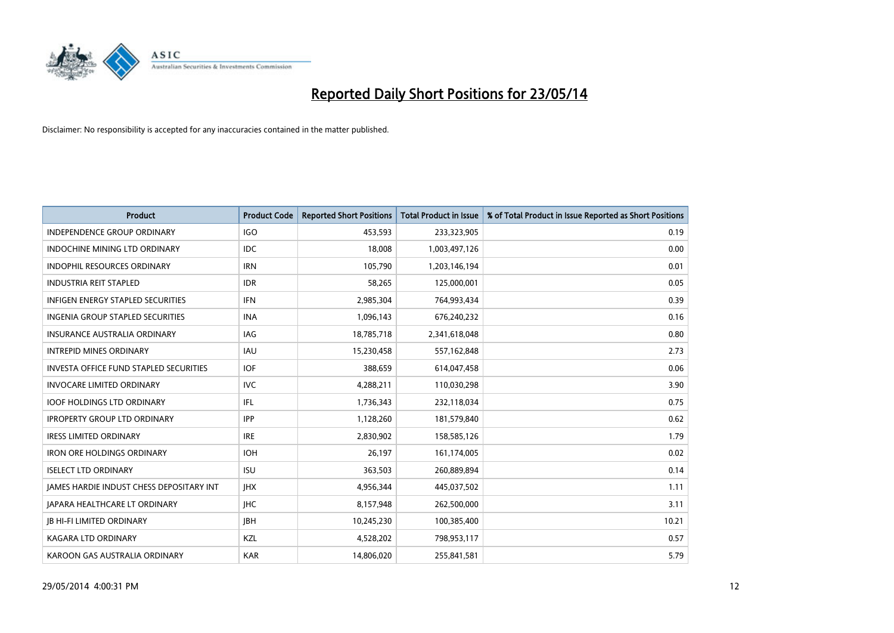

| <b>Product</b>                                | <b>Product Code</b> | <b>Reported Short Positions</b> | <b>Total Product in Issue</b> | % of Total Product in Issue Reported as Short Positions |
|-----------------------------------------------|---------------------|---------------------------------|-------------------------------|---------------------------------------------------------|
| <b>INDEPENDENCE GROUP ORDINARY</b>            | <b>IGO</b>          | 453,593                         | 233,323,905                   | 0.19                                                    |
| INDOCHINE MINING LTD ORDINARY                 | IDC.                | 18,008                          | 1,003,497,126                 | 0.00                                                    |
| <b>INDOPHIL RESOURCES ORDINARY</b>            | <b>IRN</b>          | 105,790                         | 1,203,146,194                 | 0.01                                                    |
| <b>INDUSTRIA REIT STAPLED</b>                 | <b>IDR</b>          | 58,265                          | 125,000,001                   | 0.05                                                    |
| <b>INFIGEN ENERGY STAPLED SECURITIES</b>      | <b>IFN</b>          | 2,985,304                       | 764,993,434                   | 0.39                                                    |
| INGENIA GROUP STAPLED SECURITIES              | <b>INA</b>          | 1,096,143                       | 676,240,232                   | 0.16                                                    |
| <b>INSURANCE AUSTRALIA ORDINARY</b>           | IAG                 | 18,785,718                      | 2,341,618,048                 | 0.80                                                    |
| <b>INTREPID MINES ORDINARY</b>                | <b>IAU</b>          | 15,230,458                      | 557,162,848                   | 2.73                                                    |
| <b>INVESTA OFFICE FUND STAPLED SECURITIES</b> | <b>IOF</b>          | 388,659                         | 614,047,458                   | 0.06                                                    |
| <b>INVOCARE LIMITED ORDINARY</b>              | <b>IVC</b>          | 4,288,211                       | 110,030,298                   | 3.90                                                    |
| <b>IOOF HOLDINGS LTD ORDINARY</b>             | IFL                 | 1,736,343                       | 232,118,034                   | 0.75                                                    |
| <b>IPROPERTY GROUP LTD ORDINARY</b>           | <b>IPP</b>          | 1,128,260                       | 181,579,840                   | 0.62                                                    |
| <b>IRESS LIMITED ORDINARY</b>                 | <b>IRE</b>          | 2,830,902                       | 158,585,126                   | 1.79                                                    |
| <b>IRON ORE HOLDINGS ORDINARY</b>             | <b>IOH</b>          | 26,197                          | 161,174,005                   | 0.02                                                    |
| <b>ISELECT LTD ORDINARY</b>                   | <b>ISU</b>          | 363,503                         | 260,889,894                   | 0.14                                                    |
| JAMES HARDIE INDUST CHESS DEPOSITARY INT      | <b>IHX</b>          | 4,956,344                       | 445,037,502                   | 1.11                                                    |
| <b>JAPARA HEALTHCARE LT ORDINARY</b>          | <b>IHC</b>          | 8,157,948                       | 262,500,000                   | 3.11                                                    |
| <b>JB HI-FI LIMITED ORDINARY</b>              | <b>JBH</b>          | 10,245,230                      | 100,385,400                   | 10.21                                                   |
| <b>KAGARA LTD ORDINARY</b>                    | KZL                 | 4,528,202                       | 798,953,117                   | 0.57                                                    |
| KAROON GAS AUSTRALIA ORDINARY                 | <b>KAR</b>          | 14,806,020                      | 255,841,581                   | 5.79                                                    |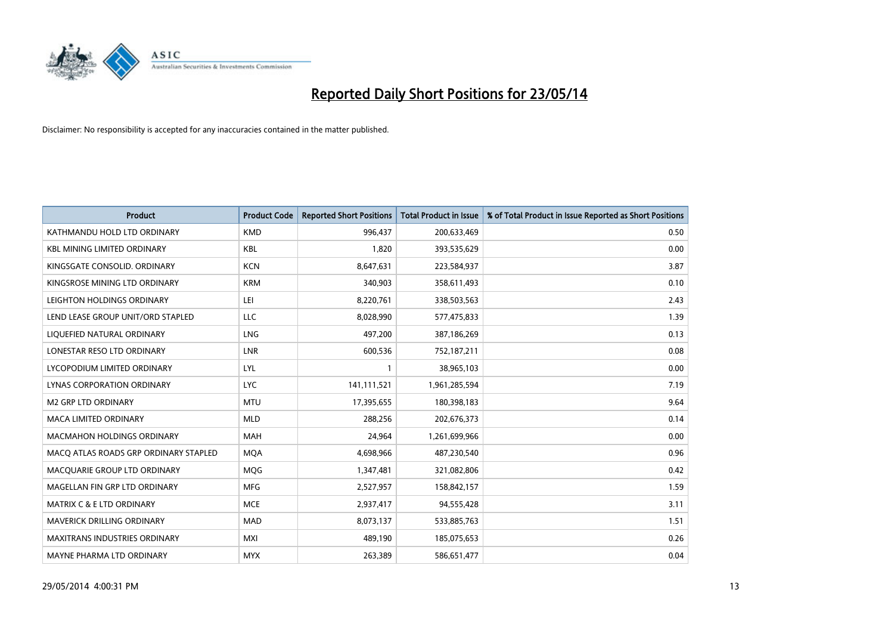

| <b>Product</b>                        | <b>Product Code</b> | <b>Reported Short Positions</b> | <b>Total Product in Issue</b> | % of Total Product in Issue Reported as Short Positions |
|---------------------------------------|---------------------|---------------------------------|-------------------------------|---------------------------------------------------------|
| KATHMANDU HOLD LTD ORDINARY           | <b>KMD</b>          | 996,437                         | 200,633,469                   | 0.50                                                    |
| <b>KBL MINING LIMITED ORDINARY</b>    | <b>KBL</b>          | 1,820                           | 393,535,629                   | 0.00                                                    |
| KINGSGATE CONSOLID. ORDINARY          | <b>KCN</b>          | 8,647,631                       | 223,584,937                   | 3.87                                                    |
| KINGSROSE MINING LTD ORDINARY         | <b>KRM</b>          | 340,903                         | 358,611,493                   | 0.10                                                    |
| LEIGHTON HOLDINGS ORDINARY            | LEI                 | 8,220,761                       | 338,503,563                   | 2.43                                                    |
| LEND LEASE GROUP UNIT/ORD STAPLED     | LLC                 | 8,028,990                       | 577,475,833                   | 1.39                                                    |
| LIQUEFIED NATURAL ORDINARY            | <b>LNG</b>          | 497,200                         | 387,186,269                   | 0.13                                                    |
| LONESTAR RESO LTD ORDINARY            | <b>LNR</b>          | 600,536                         | 752,187,211                   | 0.08                                                    |
| LYCOPODIUM LIMITED ORDINARY           | <b>LYL</b>          | 1                               | 38,965,103                    | 0.00                                                    |
| LYNAS CORPORATION ORDINARY            | <b>LYC</b>          | 141,111,521                     | 1,961,285,594                 | 7.19                                                    |
| <b>M2 GRP LTD ORDINARY</b>            | <b>MTU</b>          | 17,395,655                      | 180,398,183                   | 9.64                                                    |
| <b>MACA LIMITED ORDINARY</b>          | <b>MLD</b>          | 288,256                         | 202,676,373                   | 0.14                                                    |
| <b>MACMAHON HOLDINGS ORDINARY</b>     | <b>MAH</b>          | 24,964                          | 1,261,699,966                 | 0.00                                                    |
| MACO ATLAS ROADS GRP ORDINARY STAPLED | <b>MQA</b>          | 4,698,966                       | 487,230,540                   | 0.96                                                    |
| MACQUARIE GROUP LTD ORDINARY          | MQG                 | 1,347,481                       | 321,082,806                   | 0.42                                                    |
| MAGELLAN FIN GRP LTD ORDINARY         | <b>MFG</b>          | 2,527,957                       | 158,842,157                   | 1.59                                                    |
| <b>MATRIX C &amp; E LTD ORDINARY</b>  | <b>MCE</b>          | 2,937,417                       | 94,555,428                    | 3.11                                                    |
| <b>MAVERICK DRILLING ORDINARY</b>     | <b>MAD</b>          | 8,073,137                       | 533,885,763                   | 1.51                                                    |
| <b>MAXITRANS INDUSTRIES ORDINARY</b>  | <b>MXI</b>          | 489,190                         | 185,075,653                   | 0.26                                                    |
| MAYNE PHARMA LTD ORDINARY             | <b>MYX</b>          | 263,389                         | 586,651,477                   | 0.04                                                    |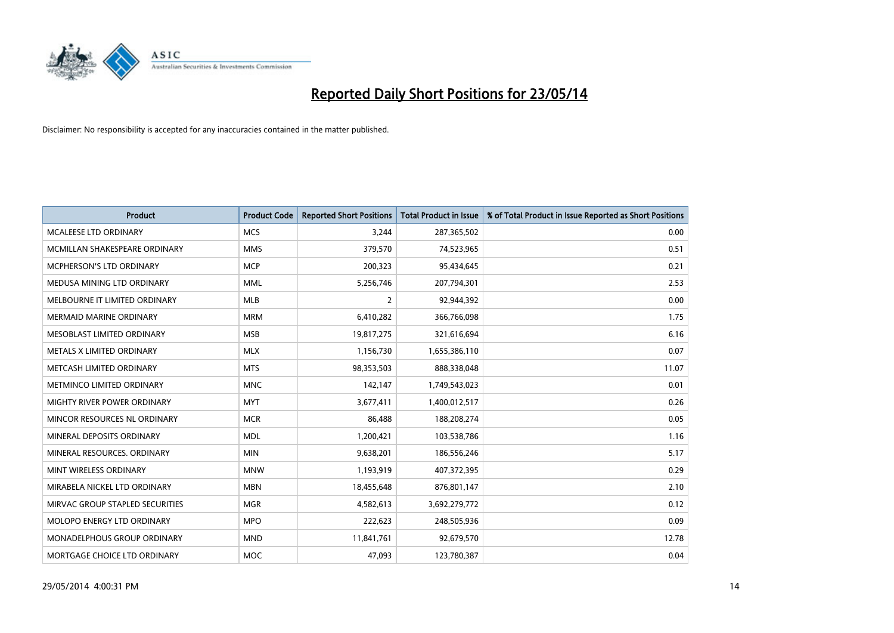

| <b>Product</b>                  | <b>Product Code</b> | <b>Reported Short Positions</b> | <b>Total Product in Issue</b> | % of Total Product in Issue Reported as Short Positions |
|---------------------------------|---------------------|---------------------------------|-------------------------------|---------------------------------------------------------|
| <b>MCALEESE LTD ORDINARY</b>    | <b>MCS</b>          | 3,244                           | 287,365,502                   | 0.00                                                    |
| MCMILLAN SHAKESPEARE ORDINARY   | <b>MMS</b>          | 379,570                         | 74,523,965                    | 0.51                                                    |
| MCPHERSON'S LTD ORDINARY        | <b>MCP</b>          | 200,323                         | 95,434,645                    | 0.21                                                    |
| MEDUSA MINING LTD ORDINARY      | <b>MML</b>          | 5,256,746                       | 207,794,301                   | 2.53                                                    |
| MELBOURNE IT LIMITED ORDINARY   | <b>MLB</b>          | 2                               | 92,944,392                    | 0.00                                                    |
| MERMAID MARINE ORDINARY         | <b>MRM</b>          | 6,410,282                       | 366,766,098                   | 1.75                                                    |
| MESOBLAST LIMITED ORDINARY      | <b>MSB</b>          | 19,817,275                      | 321,616,694                   | 6.16                                                    |
| METALS X LIMITED ORDINARY       | <b>MLX</b>          | 1,156,730                       | 1,655,386,110                 | 0.07                                                    |
| METCASH LIMITED ORDINARY        | <b>MTS</b>          | 98,353,503                      | 888,338,048                   | 11.07                                                   |
| METMINCO LIMITED ORDINARY       | <b>MNC</b>          | 142,147                         | 1,749,543,023                 | 0.01                                                    |
| MIGHTY RIVER POWER ORDINARY     | <b>MYT</b>          | 3,677,411                       | 1,400,012,517                 | 0.26                                                    |
| MINCOR RESOURCES NL ORDINARY    | <b>MCR</b>          | 86,488                          | 188,208,274                   | 0.05                                                    |
| MINERAL DEPOSITS ORDINARY       | <b>MDL</b>          | 1,200,421                       | 103,538,786                   | 1.16                                                    |
| MINERAL RESOURCES, ORDINARY     | <b>MIN</b>          | 9,638,201                       | 186,556,246                   | 5.17                                                    |
| MINT WIRELESS ORDINARY          | <b>MNW</b>          | 1,193,919                       | 407,372,395                   | 0.29                                                    |
| MIRABELA NICKEL LTD ORDINARY    | <b>MBN</b>          | 18,455,648                      | 876,801,147                   | 2.10                                                    |
| MIRVAC GROUP STAPLED SECURITIES | <b>MGR</b>          | 4,582,613                       | 3,692,279,772                 | 0.12                                                    |
| MOLOPO ENERGY LTD ORDINARY      | <b>MPO</b>          | 222,623                         | 248,505,936                   | 0.09                                                    |
| MONADELPHOUS GROUP ORDINARY     | <b>MND</b>          | 11,841,761                      | 92,679,570                    | 12.78                                                   |
| MORTGAGE CHOICE LTD ORDINARY    | <b>MOC</b>          | 47,093                          | 123,780,387                   | 0.04                                                    |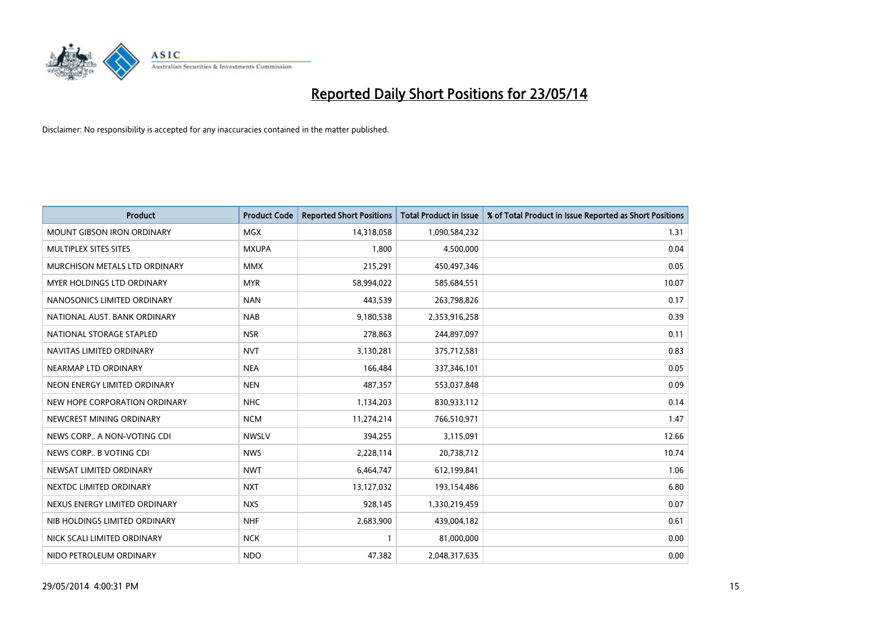

| <b>Product</b>                    | <b>Product Code</b> | <b>Reported Short Positions</b> | <b>Total Product in Issue</b> | % of Total Product in Issue Reported as Short Positions |
|-----------------------------------|---------------------|---------------------------------|-------------------------------|---------------------------------------------------------|
| <b>MOUNT GIBSON IRON ORDINARY</b> | MGX                 | 14,318,058                      | 1,090,584,232                 | 1.31                                                    |
| MULTIPLEX SITES SITES             | <b>MXUPA</b>        | 1,800                           | 4,500,000                     | 0.04                                                    |
| MURCHISON METALS LTD ORDINARY     | <b>MMX</b>          | 215,291                         | 450,497,346                   | 0.05                                                    |
| MYER HOLDINGS LTD ORDINARY        | <b>MYR</b>          | 58,994,022                      | 585,684,551                   | 10.07                                                   |
| NANOSONICS LIMITED ORDINARY       | <b>NAN</b>          | 443,539                         | 263,798,826                   | 0.17                                                    |
| NATIONAL AUST, BANK ORDINARY      | <b>NAB</b>          | 9,180,538                       | 2,353,916,258                 | 0.39                                                    |
| NATIONAL STORAGE STAPLED          | <b>NSR</b>          | 278,863                         | 244,897,097                   | 0.11                                                    |
| NAVITAS LIMITED ORDINARY          | <b>NVT</b>          | 3,130,281                       | 375,712,581                   | 0.83                                                    |
| NEARMAP LTD ORDINARY              | <b>NEA</b>          | 166,484                         | 337,346,101                   | 0.05                                                    |
| NEON ENERGY LIMITED ORDINARY      | <b>NEN</b>          | 487,357                         | 553,037,848                   | 0.09                                                    |
| NEW HOPE CORPORATION ORDINARY     | <b>NHC</b>          | 1,134,203                       | 830,933,112                   | 0.14                                                    |
| NEWCREST MINING ORDINARY          | <b>NCM</b>          | 11,274,214                      | 766,510,971                   | 1.47                                                    |
| NEWS CORP A NON-VOTING CDI        | <b>NWSLV</b>        | 394,255                         | 3,115,091                     | 12.66                                                   |
| NEWS CORP B VOTING CDI            | <b>NWS</b>          | 2,228,114                       | 20,738,712                    | 10.74                                                   |
| NEWSAT LIMITED ORDINARY           | <b>NWT</b>          | 6,464,747                       | 612,199,841                   | 1.06                                                    |
| NEXTDC LIMITED ORDINARY           | <b>NXT</b>          | 13,127,032                      | 193,154,486                   | 6.80                                                    |
| NEXUS ENERGY LIMITED ORDINARY     | <b>NXS</b>          | 928,145                         | 1,330,219,459                 | 0.07                                                    |
| NIB HOLDINGS LIMITED ORDINARY     | <b>NHF</b>          | 2,683,900                       | 439,004,182                   | 0.61                                                    |
| NICK SCALI LIMITED ORDINARY       | <b>NCK</b>          | $\mathbf{1}$                    | 81,000,000                    | 0.00                                                    |
| NIDO PETROLEUM ORDINARY           | <b>NDO</b>          | 47,382                          | 2,048,317,635                 | 0.00                                                    |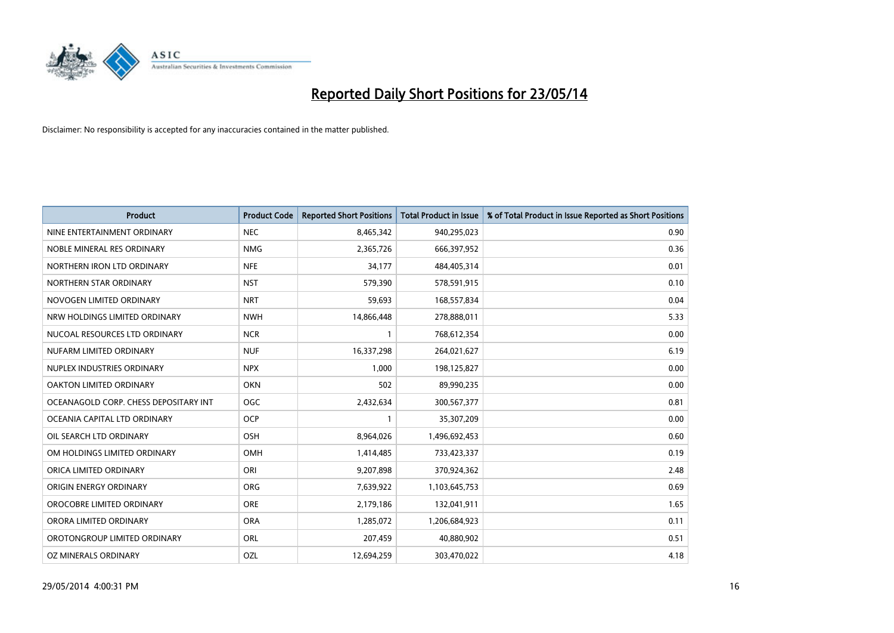

| <b>Product</b>                        | <b>Product Code</b> | <b>Reported Short Positions</b> | <b>Total Product in Issue</b> | % of Total Product in Issue Reported as Short Positions |
|---------------------------------------|---------------------|---------------------------------|-------------------------------|---------------------------------------------------------|
| NINE ENTERTAINMENT ORDINARY           | <b>NEC</b>          | 8,465,342                       | 940,295,023                   | 0.90                                                    |
| NOBLE MINERAL RES ORDINARY            | <b>NMG</b>          | 2,365,726                       | 666,397,952                   | 0.36                                                    |
| NORTHERN IRON LTD ORDINARY            | <b>NFE</b>          | 34,177                          | 484,405,314                   | 0.01                                                    |
| NORTHERN STAR ORDINARY                | <b>NST</b>          | 579,390                         | 578,591,915                   | 0.10                                                    |
| NOVOGEN LIMITED ORDINARY              | <b>NRT</b>          | 59,693                          | 168,557,834                   | 0.04                                                    |
| NRW HOLDINGS LIMITED ORDINARY         | <b>NWH</b>          | 14,866,448                      | 278,888,011                   | 5.33                                                    |
| NUCOAL RESOURCES LTD ORDINARY         | <b>NCR</b>          | $\mathbf{1}$                    | 768,612,354                   | 0.00                                                    |
| NUFARM LIMITED ORDINARY               | <b>NUF</b>          | 16,337,298                      | 264,021,627                   | 6.19                                                    |
| NUPLEX INDUSTRIES ORDINARY            | <b>NPX</b>          | 1.000                           | 198,125,827                   | 0.00                                                    |
| <b>OAKTON LIMITED ORDINARY</b>        | <b>OKN</b>          | 502                             | 89,990,235                    | 0.00                                                    |
| OCEANAGOLD CORP. CHESS DEPOSITARY INT | <b>OGC</b>          | 2,432,634                       | 300,567,377                   | 0.81                                                    |
| OCEANIA CAPITAL LTD ORDINARY          | <b>OCP</b>          | $\mathbf{1}$                    | 35,307,209                    | 0.00                                                    |
| OIL SEARCH LTD ORDINARY               | OSH                 | 8,964,026                       | 1,496,692,453                 | 0.60                                                    |
| OM HOLDINGS LIMITED ORDINARY          | OMH                 | 1,414,485                       | 733,423,337                   | 0.19                                                    |
| ORICA LIMITED ORDINARY                | ORI                 | 9,207,898                       | 370,924,362                   | 2.48                                                    |
| ORIGIN ENERGY ORDINARY                | ORG                 | 7,639,922                       | 1,103,645,753                 | 0.69                                                    |
| OROCOBRE LIMITED ORDINARY             | <b>ORE</b>          | 2,179,186                       | 132,041,911                   | 1.65                                                    |
| ORORA LIMITED ORDINARY                | <b>ORA</b>          | 1,285,072                       | 1,206,684,923                 | 0.11                                                    |
| OROTONGROUP LIMITED ORDINARY          | ORL                 | 207,459                         | 40,880,902                    | 0.51                                                    |
| OZ MINERALS ORDINARY                  | OZL                 | 12,694,259                      | 303,470,022                   | 4.18                                                    |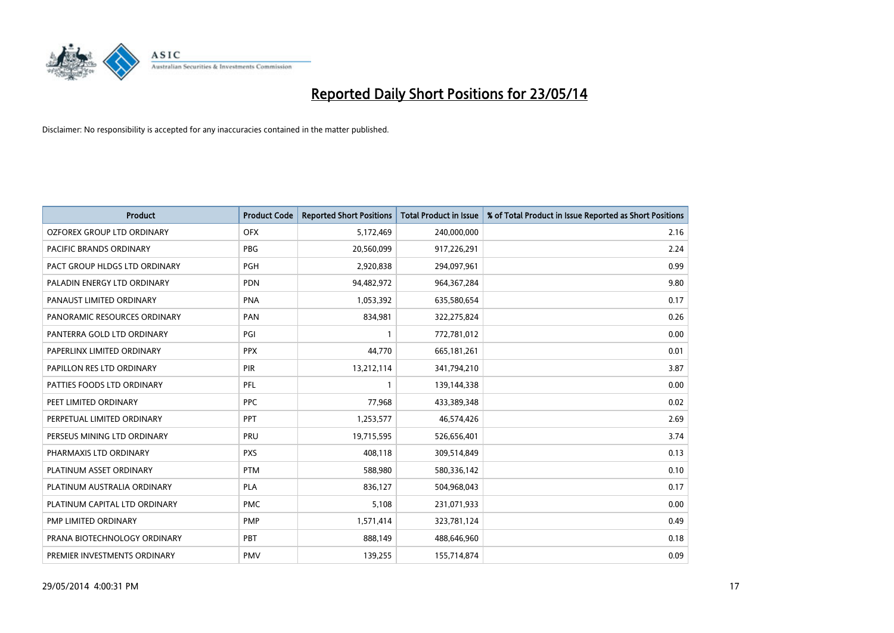

| <b>Product</b>                | <b>Product Code</b> | <b>Reported Short Positions</b> | <b>Total Product in Issue</b> | % of Total Product in Issue Reported as Short Positions |
|-------------------------------|---------------------|---------------------------------|-------------------------------|---------------------------------------------------------|
| OZFOREX GROUP LTD ORDINARY    | <b>OFX</b>          | 5,172,469                       | 240,000,000                   | 2.16                                                    |
| PACIFIC BRANDS ORDINARY       | <b>PBG</b>          | 20,560,099                      | 917,226,291                   | 2.24                                                    |
| PACT GROUP HLDGS LTD ORDINARY | <b>PGH</b>          | 2,920,838                       | 294,097,961                   | 0.99                                                    |
| PALADIN ENERGY LTD ORDINARY   | <b>PDN</b>          | 94,482,972                      | 964, 367, 284                 | 9.80                                                    |
| PANAUST LIMITED ORDINARY      | <b>PNA</b>          | 1,053,392                       | 635,580,654                   | 0.17                                                    |
| PANORAMIC RESOURCES ORDINARY  | PAN                 | 834,981                         | 322,275,824                   | 0.26                                                    |
| PANTERRA GOLD LTD ORDINARY    | PGI                 |                                 | 772,781,012                   | 0.00                                                    |
| PAPERLINX LIMITED ORDINARY    | <b>PPX</b>          | 44,770                          | 665, 181, 261                 | 0.01                                                    |
| PAPILLON RES LTD ORDINARY     | <b>PIR</b>          | 13,212,114                      | 341,794,210                   | 3.87                                                    |
| PATTIES FOODS LTD ORDINARY    | <b>PFL</b>          | $\mathbf{1}$                    | 139,144,338                   | 0.00                                                    |
| PEET LIMITED ORDINARY         | <b>PPC</b>          | 77,968                          | 433,389,348                   | 0.02                                                    |
| PERPETUAL LIMITED ORDINARY    | <b>PPT</b>          | 1,253,577                       | 46,574,426                    | 2.69                                                    |
| PERSEUS MINING LTD ORDINARY   | PRU                 | 19,715,595                      | 526,656,401                   | 3.74                                                    |
| PHARMAXIS LTD ORDINARY        | <b>PXS</b>          | 408,118                         | 309,514,849                   | 0.13                                                    |
| PLATINUM ASSET ORDINARY       | <b>PTM</b>          | 588,980                         | 580,336,142                   | 0.10                                                    |
| PLATINUM AUSTRALIA ORDINARY   | PLA                 | 836,127                         | 504,968,043                   | 0.17                                                    |
| PLATINUM CAPITAL LTD ORDINARY | <b>PMC</b>          | 5,108                           | 231,071,933                   | 0.00                                                    |
| PMP LIMITED ORDINARY          | <b>PMP</b>          | 1,571,414                       | 323,781,124                   | 0.49                                                    |
| PRANA BIOTECHNOLOGY ORDINARY  | PBT                 | 888,149                         | 488,646,960                   | 0.18                                                    |
| PREMIER INVESTMENTS ORDINARY  | <b>PMV</b>          | 139,255                         | 155,714,874                   | 0.09                                                    |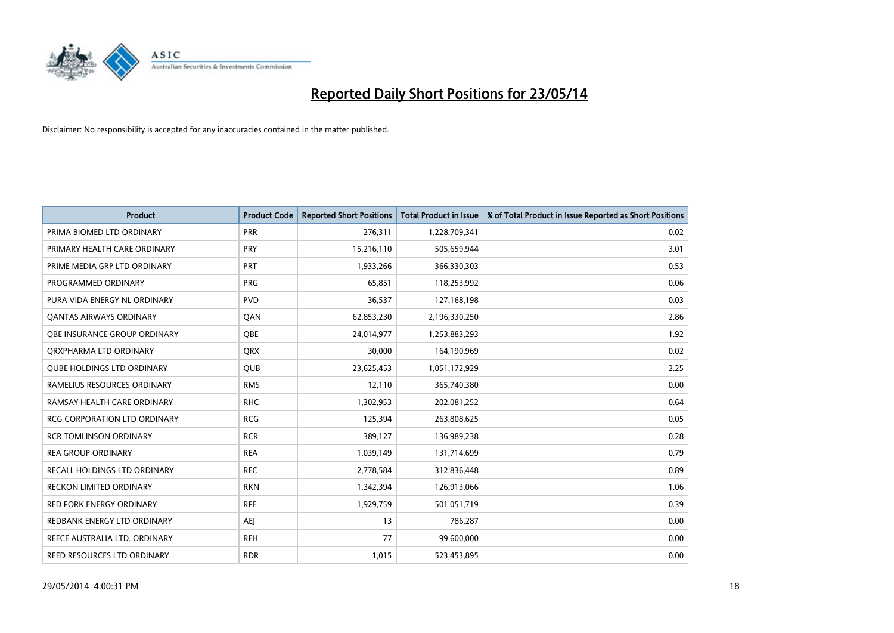

| <b>Product</b>                      | <b>Product Code</b> | <b>Reported Short Positions</b> | <b>Total Product in Issue</b> | % of Total Product in Issue Reported as Short Positions |
|-------------------------------------|---------------------|---------------------------------|-------------------------------|---------------------------------------------------------|
| PRIMA BIOMED LTD ORDINARY           | <b>PRR</b>          | 276,311                         | 1,228,709,341                 | 0.02                                                    |
| PRIMARY HEALTH CARE ORDINARY        | <b>PRY</b>          | 15,216,110                      | 505,659,944                   | 3.01                                                    |
| PRIME MEDIA GRP LTD ORDINARY        | <b>PRT</b>          | 1,933,266                       | 366,330,303                   | 0.53                                                    |
| PROGRAMMED ORDINARY                 | <b>PRG</b>          | 65,851                          | 118,253,992                   | 0.06                                                    |
| PURA VIDA ENERGY NL ORDINARY        | <b>PVD</b>          | 36,537                          | 127,168,198                   | 0.03                                                    |
| <b>QANTAS AIRWAYS ORDINARY</b>      | QAN                 | 62,853,230                      | 2,196,330,250                 | 2.86                                                    |
| OBE INSURANCE GROUP ORDINARY        | QBE                 | 24,014,977                      | 1,253,883,293                 | 1.92                                                    |
| ORXPHARMA LTD ORDINARY              | QRX                 | 30,000                          | 164,190,969                   | 0.02                                                    |
| <b>OUBE HOLDINGS LTD ORDINARY</b>   | <b>QUB</b>          | 23,625,453                      | 1,051,172,929                 | 2.25                                                    |
| RAMELIUS RESOURCES ORDINARY         | <b>RMS</b>          | 12,110                          | 365,740,380                   | 0.00                                                    |
| RAMSAY HEALTH CARE ORDINARY         | <b>RHC</b>          | 1,302,953                       | 202,081,252                   | 0.64                                                    |
| <b>RCG CORPORATION LTD ORDINARY</b> | <b>RCG</b>          | 125,394                         | 263,808,625                   | 0.05                                                    |
| <b>RCR TOMLINSON ORDINARY</b>       | <b>RCR</b>          | 389,127                         | 136,989,238                   | 0.28                                                    |
| <b>REA GROUP ORDINARY</b>           | <b>REA</b>          | 1,039,149                       | 131,714,699                   | 0.79                                                    |
| RECALL HOLDINGS LTD ORDINARY        | <b>REC</b>          | 2,778,584                       | 312,836,448                   | 0.89                                                    |
| <b>RECKON LIMITED ORDINARY</b>      | <b>RKN</b>          | 1,342,394                       | 126,913,066                   | 1.06                                                    |
| <b>RED FORK ENERGY ORDINARY</b>     | <b>RFE</b>          | 1,929,759                       | 501,051,719                   | 0.39                                                    |
| REDBANK ENERGY LTD ORDINARY         | AEJ                 | 13                              | 786,287                       | 0.00                                                    |
| REECE AUSTRALIA LTD. ORDINARY       | <b>REH</b>          | 77                              | 99,600,000                    | 0.00                                                    |
| REED RESOURCES LTD ORDINARY         | <b>RDR</b>          | 1,015                           | 523,453,895                   | 0.00                                                    |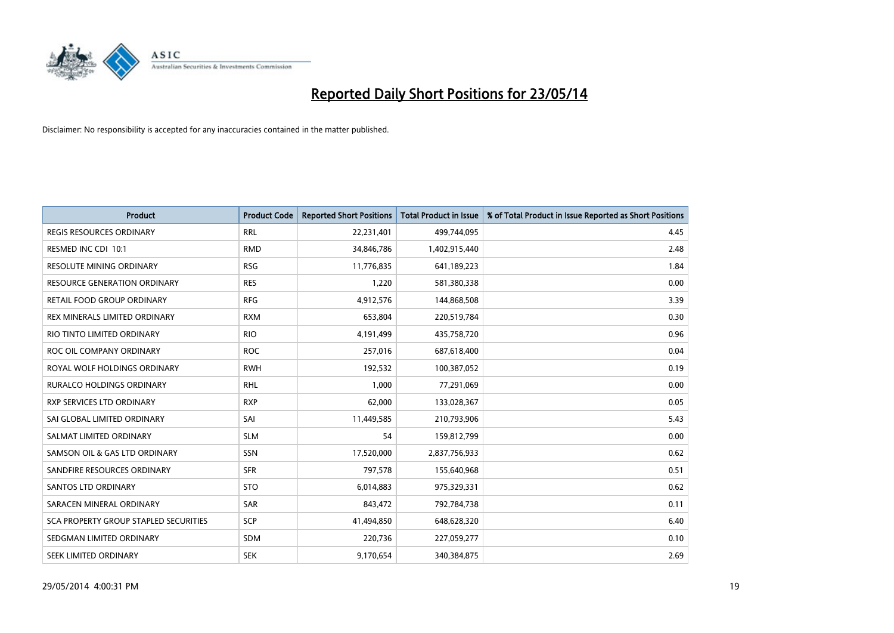

| <b>Product</b>                               | <b>Product Code</b> | <b>Reported Short Positions</b> | <b>Total Product in Issue</b> | % of Total Product in Issue Reported as Short Positions |
|----------------------------------------------|---------------------|---------------------------------|-------------------------------|---------------------------------------------------------|
| <b>REGIS RESOURCES ORDINARY</b>              | <b>RRL</b>          | 22,231,401                      | 499,744,095                   | 4.45                                                    |
| RESMED INC CDI 10:1                          | <b>RMD</b>          | 34,846,786                      | 1,402,915,440                 | 2.48                                                    |
| <b>RESOLUTE MINING ORDINARY</b>              | <b>RSG</b>          | 11,776,835                      | 641,189,223                   | 1.84                                                    |
| <b>RESOURCE GENERATION ORDINARY</b>          | <b>RES</b>          | 1,220                           | 581,380,338                   | 0.00                                                    |
| <b>RETAIL FOOD GROUP ORDINARY</b>            | <b>RFG</b>          | 4,912,576                       | 144,868,508                   | 3.39                                                    |
| REX MINERALS LIMITED ORDINARY                | <b>RXM</b>          | 653,804                         | 220,519,784                   | 0.30                                                    |
| RIO TINTO LIMITED ORDINARY                   | <b>RIO</b>          | 4,191,499                       | 435,758,720                   | 0.96                                                    |
| ROC OIL COMPANY ORDINARY                     | <b>ROC</b>          | 257,016                         | 687,618,400                   | 0.04                                                    |
| ROYAL WOLF HOLDINGS ORDINARY                 | <b>RWH</b>          | 192,532                         | 100,387,052                   | 0.19                                                    |
| <b>RURALCO HOLDINGS ORDINARY</b>             | <b>RHL</b>          | 1,000                           | 77,291,069                    | 0.00                                                    |
| RXP SERVICES LTD ORDINARY                    | <b>RXP</b>          | 62,000                          | 133,028,367                   | 0.05                                                    |
| SAI GLOBAL LIMITED ORDINARY                  | SAI                 | 11,449,585                      | 210,793,906                   | 5.43                                                    |
| SALMAT LIMITED ORDINARY                      | <b>SLM</b>          | 54                              | 159,812,799                   | 0.00                                                    |
| SAMSON OIL & GAS LTD ORDINARY                | SSN                 | 17,520,000                      | 2,837,756,933                 | 0.62                                                    |
| SANDFIRE RESOURCES ORDINARY                  | <b>SFR</b>          | 797,578                         | 155,640,968                   | 0.51                                                    |
| <b>SANTOS LTD ORDINARY</b>                   | <b>STO</b>          | 6,014,883                       | 975,329,331                   | 0.62                                                    |
| SARACEN MINERAL ORDINARY                     | SAR                 | 843,472                         | 792,784,738                   | 0.11                                                    |
| <b>SCA PROPERTY GROUP STAPLED SECURITIES</b> | <b>SCP</b>          | 41,494,850                      | 648,628,320                   | 6.40                                                    |
| SEDGMAN LIMITED ORDINARY                     | <b>SDM</b>          | 220,736                         | 227,059,277                   | 0.10                                                    |
| SEEK LIMITED ORDINARY                        | <b>SEK</b>          | 9,170,654                       | 340,384,875                   | 2.69                                                    |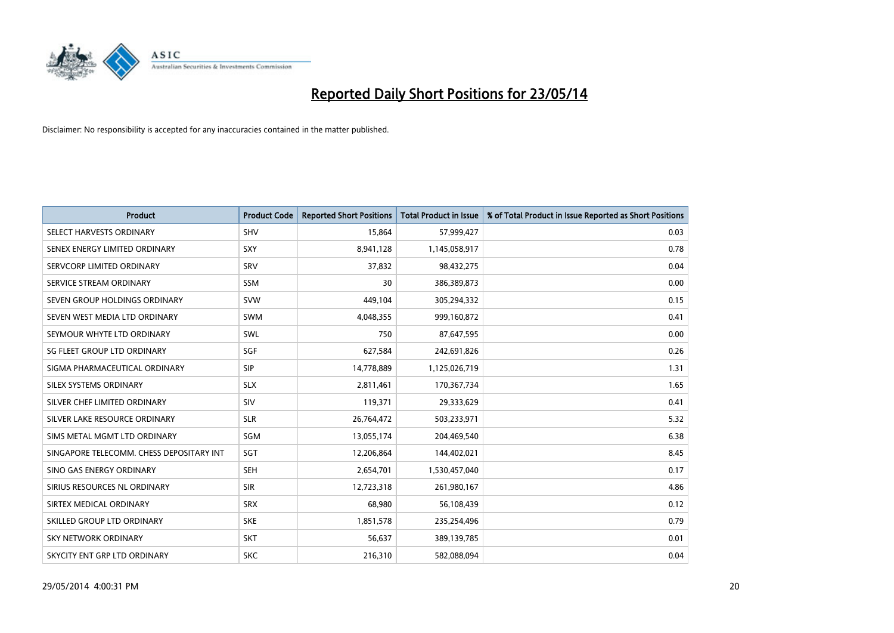

| <b>Product</b>                           | <b>Product Code</b> | <b>Reported Short Positions</b> | <b>Total Product in Issue</b> | % of Total Product in Issue Reported as Short Positions |
|------------------------------------------|---------------------|---------------------------------|-------------------------------|---------------------------------------------------------|
| SELECT HARVESTS ORDINARY                 | <b>SHV</b>          | 15,864                          | 57,999,427                    | 0.03                                                    |
| SENEX ENERGY LIMITED ORDINARY            | <b>SXY</b>          | 8,941,128                       | 1,145,058,917                 | 0.78                                                    |
| SERVCORP LIMITED ORDINARY                | SRV                 | 37,832                          | 98,432,275                    | 0.04                                                    |
| SERVICE STREAM ORDINARY                  | SSM                 | 30                              | 386,389,873                   | 0.00                                                    |
| SEVEN GROUP HOLDINGS ORDINARY            | <b>SVW</b>          | 449,104                         | 305,294,332                   | 0.15                                                    |
| SEVEN WEST MEDIA LTD ORDINARY            | <b>SWM</b>          | 4,048,355                       | 999,160,872                   | 0.41                                                    |
| SEYMOUR WHYTE LTD ORDINARY               | SWL                 | 750                             | 87,647,595                    | 0.00                                                    |
| SG FLEET GROUP LTD ORDINARY              | SGF                 | 627,584                         | 242,691,826                   | 0.26                                                    |
| SIGMA PHARMACEUTICAL ORDINARY            | <b>SIP</b>          | 14,778,889                      | 1,125,026,719                 | 1.31                                                    |
| SILEX SYSTEMS ORDINARY                   | <b>SLX</b>          | 2,811,461                       | 170,367,734                   | 1.65                                                    |
| SILVER CHEF LIMITED ORDINARY             | SIV                 | 119,371                         | 29,333,629                    | 0.41                                                    |
| SILVER LAKE RESOURCE ORDINARY            | <b>SLR</b>          | 26,764,472                      | 503,233,971                   | 5.32                                                    |
| SIMS METAL MGMT LTD ORDINARY             | SGM                 | 13,055,174                      | 204,469,540                   | 6.38                                                    |
| SINGAPORE TELECOMM. CHESS DEPOSITARY INT | SGT                 | 12,206,864                      | 144,402,021                   | 8.45                                                    |
| SINO GAS ENERGY ORDINARY                 | <b>SEH</b>          | 2,654,701                       | 1,530,457,040                 | 0.17                                                    |
| SIRIUS RESOURCES NL ORDINARY             | <b>SIR</b>          | 12,723,318                      | 261,980,167                   | 4.86                                                    |
| SIRTEX MEDICAL ORDINARY                  | <b>SRX</b>          | 68,980                          | 56,108,439                    | 0.12                                                    |
| SKILLED GROUP LTD ORDINARY               | <b>SKE</b>          | 1,851,578                       | 235,254,496                   | 0.79                                                    |
| <b>SKY NETWORK ORDINARY</b>              | <b>SKT</b>          | 56,637                          | 389,139,785                   | 0.01                                                    |
| SKYCITY ENT GRP LTD ORDINARY             | <b>SKC</b>          | 216,310                         | 582,088,094                   | 0.04                                                    |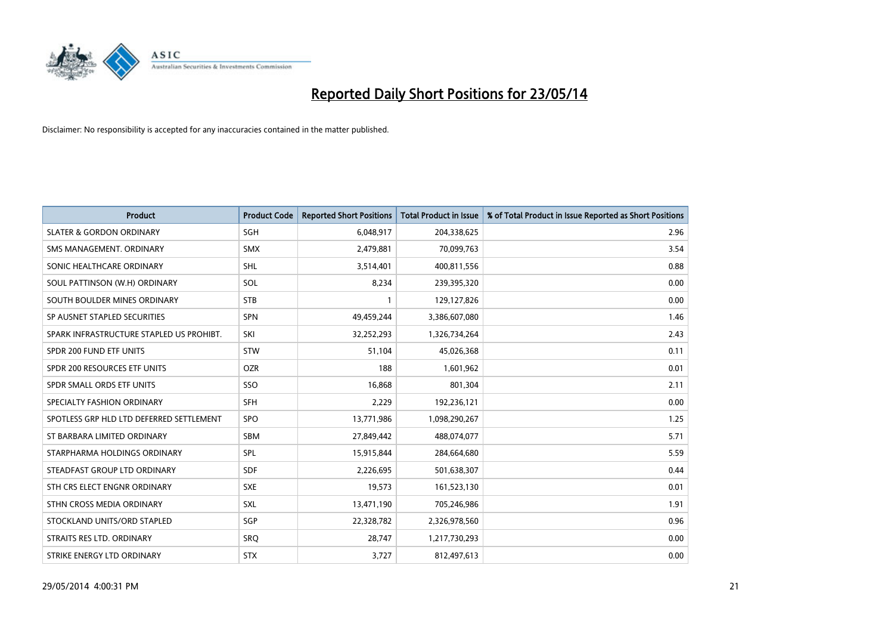

| <b>Product</b>                           | <b>Product Code</b> | <b>Reported Short Positions</b> | <b>Total Product in Issue</b> | % of Total Product in Issue Reported as Short Positions |
|------------------------------------------|---------------------|---------------------------------|-------------------------------|---------------------------------------------------------|
| <b>SLATER &amp; GORDON ORDINARY</b>      | SGH                 | 6,048,917                       | 204,338,625                   | 2.96                                                    |
| SMS MANAGEMENT. ORDINARY                 | <b>SMX</b>          | 2,479,881                       | 70,099,763                    | 3.54                                                    |
| SONIC HEALTHCARE ORDINARY                | <b>SHL</b>          | 3,514,401                       | 400,811,556                   | 0.88                                                    |
| SOUL PATTINSON (W.H) ORDINARY            | <b>SOL</b>          | 8,234                           | 239,395,320                   | 0.00                                                    |
| SOUTH BOULDER MINES ORDINARY             | <b>STB</b>          | 1                               | 129,127,826                   | 0.00                                                    |
| SP AUSNET STAPLED SECURITIES             | <b>SPN</b>          | 49,459,244                      | 3,386,607,080                 | 1.46                                                    |
| SPARK INFRASTRUCTURE STAPLED US PROHIBT. | SKI                 | 32,252,293                      | 1,326,734,264                 | 2.43                                                    |
| SPDR 200 FUND ETF UNITS                  | <b>STW</b>          | 51,104                          | 45,026,368                    | 0.11                                                    |
| SPDR 200 RESOURCES ETF UNITS             | <b>OZR</b>          | 188                             | 1,601,962                     | 0.01                                                    |
| SPDR SMALL ORDS ETF UNITS                | SSO                 | 16,868                          | 801,304                       | 2.11                                                    |
| SPECIALTY FASHION ORDINARY               | <b>SFH</b>          | 2,229                           | 192,236,121                   | 0.00                                                    |
| SPOTLESS GRP HLD LTD DEFERRED SETTLEMENT | <b>SPO</b>          | 13,771,986                      | 1,098,290,267                 | 1.25                                                    |
| ST BARBARA LIMITED ORDINARY              | SBM                 | 27,849,442                      | 488,074,077                   | 5.71                                                    |
| STARPHARMA HOLDINGS ORDINARY             | SPL                 | 15,915,844                      | 284,664,680                   | 5.59                                                    |
| STEADFAST GROUP LTD ORDINARY             | <b>SDF</b>          | 2,226,695                       | 501,638,307                   | 0.44                                                    |
| STH CRS ELECT ENGNR ORDINARY             | <b>SXE</b>          | 19,573                          | 161,523,130                   | 0.01                                                    |
| STHN CROSS MEDIA ORDINARY                | <b>SXL</b>          | 13,471,190                      | 705,246,986                   | 1.91                                                    |
| STOCKLAND UNITS/ORD STAPLED              | SGP                 | 22,328,782                      | 2,326,978,560                 | 0.96                                                    |
| STRAITS RES LTD. ORDINARY                | SRO                 | 28,747                          | 1,217,730,293                 | 0.00                                                    |
| STRIKE ENERGY LTD ORDINARY               | <b>STX</b>          | 3,727                           | 812,497,613                   | 0.00                                                    |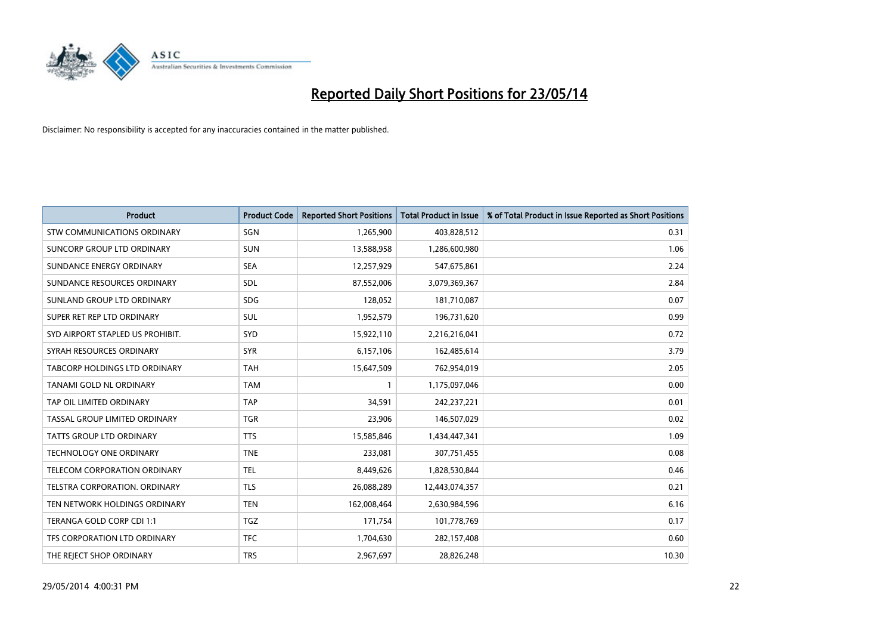

| <b>Product</b>                     | <b>Product Code</b> | <b>Reported Short Positions</b> | <b>Total Product in Issue</b> | % of Total Product in Issue Reported as Short Positions |
|------------------------------------|---------------------|---------------------------------|-------------------------------|---------------------------------------------------------|
| <b>STW COMMUNICATIONS ORDINARY</b> | SGN                 | 1,265,900                       | 403,828,512                   | 0.31                                                    |
| SUNCORP GROUP LTD ORDINARY         | <b>SUN</b>          | 13,588,958                      | 1,286,600,980                 | 1.06                                                    |
| SUNDANCE ENERGY ORDINARY           | <b>SEA</b>          | 12,257,929                      | 547,675,861                   | 2.24                                                    |
| SUNDANCE RESOURCES ORDINARY        | SDL                 | 87,552,006                      | 3,079,369,367                 | 2.84                                                    |
| SUNLAND GROUP LTD ORDINARY         | <b>SDG</b>          | 128,052                         | 181,710,087                   | 0.07                                                    |
| SUPER RET REP LTD ORDINARY         | <b>SUL</b>          | 1,952,579                       | 196,731,620                   | 0.99                                                    |
| SYD AIRPORT STAPLED US PROHIBIT.   | <b>SYD</b>          | 15,922,110                      | 2,216,216,041                 | 0.72                                                    |
| SYRAH RESOURCES ORDINARY           | <b>SYR</b>          | 6,157,106                       | 162,485,614                   | 3.79                                                    |
| TABCORP HOLDINGS LTD ORDINARY      | <b>TAH</b>          | 15,647,509                      | 762,954,019                   | 2.05                                                    |
| TANAMI GOLD NL ORDINARY            | <b>TAM</b>          | 1                               | 1,175,097,046                 | 0.00                                                    |
| TAP OIL LIMITED ORDINARY           | <b>TAP</b>          | 34,591                          | 242,237,221                   | 0.01                                                    |
| TASSAL GROUP LIMITED ORDINARY      | <b>TGR</b>          | 23,906                          | 146,507,029                   | 0.02                                                    |
| TATTS GROUP LTD ORDINARY           | <b>TTS</b>          | 15,585,846                      | 1,434,447,341                 | 1.09                                                    |
| <b>TECHNOLOGY ONE ORDINARY</b>     | <b>TNE</b>          | 233,081                         | 307,751,455                   | 0.08                                                    |
| TELECOM CORPORATION ORDINARY       | <b>TEL</b>          | 8,449,626                       | 1,828,530,844                 | 0.46                                                    |
| TELSTRA CORPORATION, ORDINARY      | <b>TLS</b>          | 26,088,289                      | 12,443,074,357                | 0.21                                                    |
| TEN NETWORK HOLDINGS ORDINARY      | <b>TEN</b>          | 162,008,464                     | 2,630,984,596                 | 6.16                                                    |
| TERANGA GOLD CORP CDI 1:1          | <b>TGZ</b>          | 171,754                         | 101,778,769                   | 0.17                                                    |
| TFS CORPORATION LTD ORDINARY       | <b>TFC</b>          | 1,704,630                       | 282,157,408                   | 0.60                                                    |
| THE REJECT SHOP ORDINARY           | <b>TRS</b>          | 2,967,697                       | 28,826,248                    | 10.30                                                   |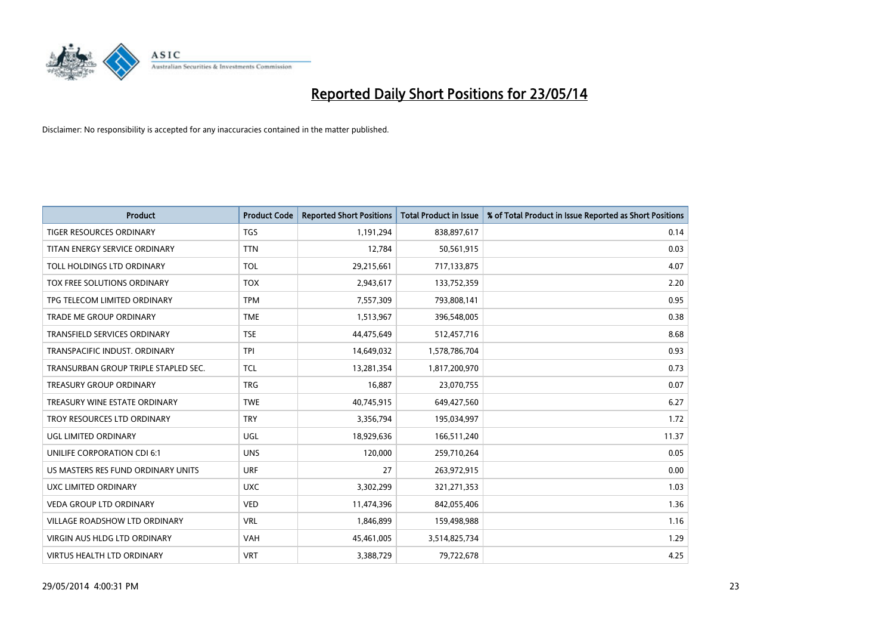

| <b>Product</b>                       | <b>Product Code</b> | <b>Reported Short Positions</b> | <b>Total Product in Issue</b> | % of Total Product in Issue Reported as Short Positions |
|--------------------------------------|---------------------|---------------------------------|-------------------------------|---------------------------------------------------------|
| <b>TIGER RESOURCES ORDINARY</b>      | <b>TGS</b>          | 1,191,294                       | 838,897,617                   | 0.14                                                    |
| TITAN ENERGY SERVICE ORDINARY        | <b>TTN</b>          | 12,784                          | 50,561,915                    | 0.03                                                    |
| TOLL HOLDINGS LTD ORDINARY           | <b>TOL</b>          | 29,215,661                      | 717,133,875                   | 4.07                                                    |
| TOX FREE SOLUTIONS ORDINARY          | <b>TOX</b>          | 2,943,617                       | 133,752,359                   | 2.20                                                    |
| TPG TELECOM LIMITED ORDINARY         | <b>TPM</b>          | 7,557,309                       | 793,808,141                   | 0.95                                                    |
| <b>TRADE ME GROUP ORDINARY</b>       | <b>TME</b>          | 1,513,967                       | 396,548,005                   | 0.38                                                    |
| TRANSFIELD SERVICES ORDINARY         | <b>TSE</b>          | 44,475,649                      | 512,457,716                   | 8.68                                                    |
| TRANSPACIFIC INDUST. ORDINARY        | <b>TPI</b>          | 14,649,032                      | 1,578,786,704                 | 0.93                                                    |
| TRANSURBAN GROUP TRIPLE STAPLED SEC. | <b>TCL</b>          | 13,281,354                      | 1,817,200,970                 | 0.73                                                    |
| <b>TREASURY GROUP ORDINARY</b>       | <b>TRG</b>          | 16,887                          | 23,070,755                    | 0.07                                                    |
| TREASURY WINE ESTATE ORDINARY        | <b>TWE</b>          | 40,745,915                      | 649,427,560                   | 6.27                                                    |
| TROY RESOURCES LTD ORDINARY          | <b>TRY</b>          | 3,356,794                       | 195,034,997                   | 1.72                                                    |
| UGL LIMITED ORDINARY                 | UGL                 | 18,929,636                      | 166,511,240                   | 11.37                                                   |
| UNILIFE CORPORATION CDI 6:1          | <b>UNS</b>          | 120,000                         | 259,710,264                   | 0.05                                                    |
| US MASTERS RES FUND ORDINARY UNITS   | <b>URF</b>          | 27                              | 263,972,915                   | 0.00                                                    |
| UXC LIMITED ORDINARY                 | <b>UXC</b>          | 3,302,299                       | 321,271,353                   | 1.03                                                    |
| VEDA GROUP LTD ORDINARY              | <b>VED</b>          | 11,474,396                      | 842,055,406                   | 1.36                                                    |
| <b>VILLAGE ROADSHOW LTD ORDINARY</b> | <b>VRL</b>          | 1,846,899                       | 159,498,988                   | 1.16                                                    |
| <b>VIRGIN AUS HLDG LTD ORDINARY</b>  | <b>VAH</b>          | 45,461,005                      | 3,514,825,734                 | 1.29                                                    |
| VIRTUS HEALTH LTD ORDINARY           | <b>VRT</b>          | 3,388,729                       | 79,722,678                    | 4.25                                                    |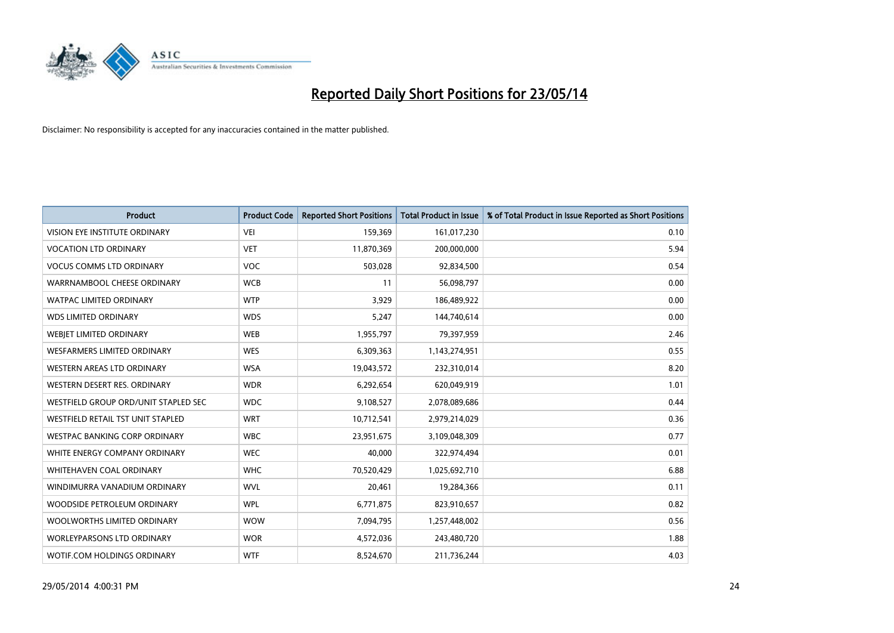

| <b>Product</b>                       | <b>Product Code</b> | <b>Reported Short Positions</b> | <b>Total Product in Issue</b> | % of Total Product in Issue Reported as Short Positions |
|--------------------------------------|---------------------|---------------------------------|-------------------------------|---------------------------------------------------------|
| VISION EYE INSTITUTE ORDINARY        | <b>VEI</b>          | 159,369                         | 161,017,230                   | 0.10                                                    |
| <b>VOCATION LTD ORDINARY</b>         | <b>VET</b>          | 11,870,369                      | 200,000,000                   | 5.94                                                    |
| <b>VOCUS COMMS LTD ORDINARY</b>      | <b>VOC</b>          | 503,028                         | 92,834,500                    | 0.54                                                    |
| WARRNAMBOOL CHEESE ORDINARY          | <b>WCB</b>          | 11                              | 56,098,797                    | 0.00                                                    |
| <b>WATPAC LIMITED ORDINARY</b>       | <b>WTP</b>          | 3,929                           | 186,489,922                   | 0.00                                                    |
| <b>WDS LIMITED ORDINARY</b>          | <b>WDS</b>          | 5,247                           | 144,740,614                   | 0.00                                                    |
| <b>WEBIET LIMITED ORDINARY</b>       | <b>WEB</b>          | 1,955,797                       | 79,397,959                    | 2.46                                                    |
| <b>WESFARMERS LIMITED ORDINARY</b>   | <b>WES</b>          | 6,309,363                       | 1,143,274,951                 | 0.55                                                    |
| <b>WESTERN AREAS LTD ORDINARY</b>    | <b>WSA</b>          | 19,043,572                      | 232,310,014                   | 8.20                                                    |
| WESTERN DESERT RES. ORDINARY         | <b>WDR</b>          | 6,292,654                       | 620,049,919                   | 1.01                                                    |
| WESTFIELD GROUP ORD/UNIT STAPLED SEC | <b>WDC</b>          | 9,108,527                       | 2,078,089,686                 | 0.44                                                    |
| WESTFIELD RETAIL TST UNIT STAPLED    | <b>WRT</b>          | 10,712,541                      | 2,979,214,029                 | 0.36                                                    |
| WESTPAC BANKING CORP ORDINARY        | <b>WBC</b>          | 23,951,675                      | 3,109,048,309                 | 0.77                                                    |
| WHITE ENERGY COMPANY ORDINARY        | <b>WEC</b>          | 40,000                          | 322,974,494                   | 0.01                                                    |
| WHITEHAVEN COAL ORDINARY             | <b>WHC</b>          | 70,520,429                      | 1,025,692,710                 | 6.88                                                    |
| WINDIMURRA VANADIUM ORDINARY         | <b>WVL</b>          | 20,461                          | 19,284,366                    | 0.11                                                    |
| WOODSIDE PETROLEUM ORDINARY          | <b>WPL</b>          | 6,771,875                       | 823,910,657                   | 0.82                                                    |
| WOOLWORTHS LIMITED ORDINARY          | <b>WOW</b>          | 7,094,795                       | 1,257,448,002                 | 0.56                                                    |
| <b>WORLEYPARSONS LTD ORDINARY</b>    | <b>WOR</b>          | 4,572,036                       | 243,480,720                   | 1.88                                                    |
| WOTIF.COM HOLDINGS ORDINARY          | <b>WTF</b>          | 8,524,670                       | 211,736,244                   | 4.03                                                    |